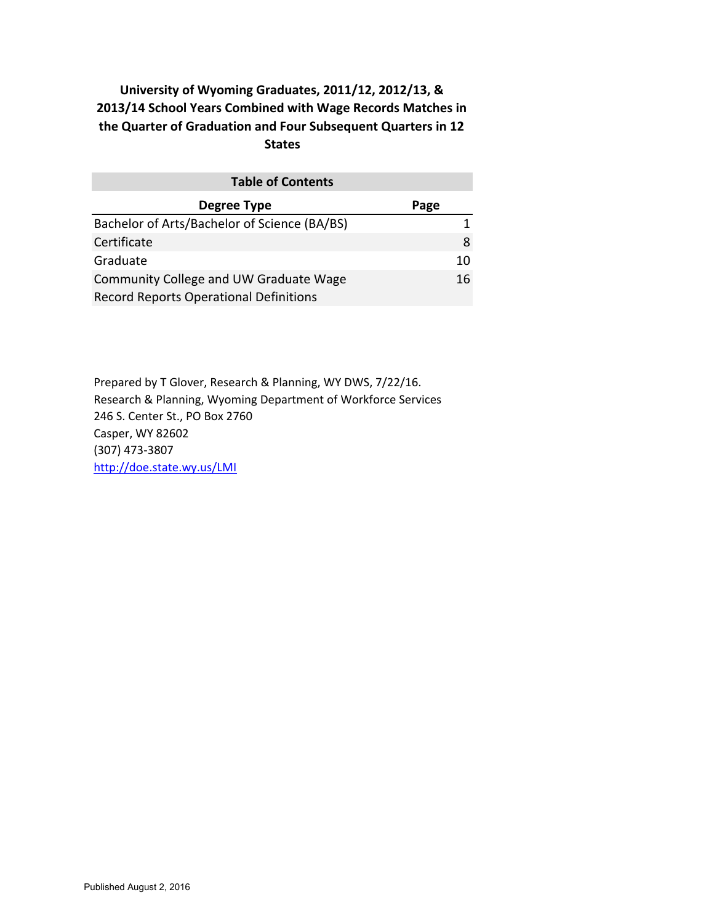| <b>Table of Contents</b>                      |      |
|-----------------------------------------------|------|
| <b>Degree Type</b>                            | Page |
| Bachelor of Arts/Bachelor of Science (BA/BS)  |      |
| Certificate                                   | 8    |
| Graduate                                      | 10   |
| Community College and UW Graduate Wage        | 16   |
| <b>Record Reports Operational Definitions</b> |      |

Prepared by T Glover, Research & Planning, WY DWS, 7/22/16. Research & Planning, Wyoming Department of Workforce Services 246 S. Center St., PO Box 2760 Casper, WY 82602 (307) 473‐3807 http://doe.state.wy.us/LMI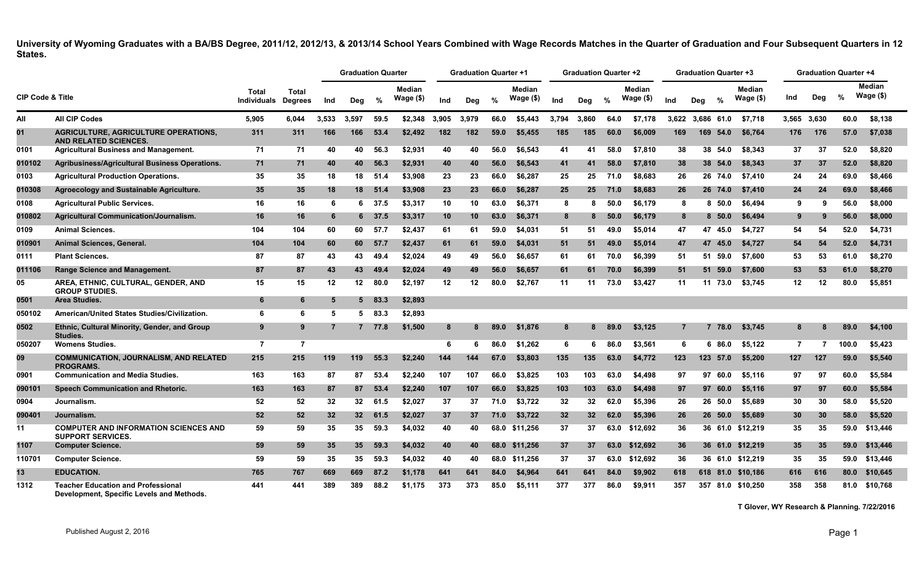|                             |                                                                                        |                      |                                |       | <b>Graduation Quarter</b> |          |                             |       | <b>Graduation Quarter +1</b> |      |                            |       | <b>Graduation Quarter +2</b> |      |                            |       | <b>Graduation Quarter +3</b> |          |                     |                  |          | <b>Graduation Quarter +4</b> |                       |
|-----------------------------|----------------------------------------------------------------------------------------|----------------------|--------------------------------|-------|---------------------------|----------|-----------------------------|-------|------------------------------|------|----------------------------|-------|------------------------------|------|----------------------------|-------|------------------------------|----------|---------------------|------------------|----------|------------------------------|-----------------------|
| <b>CIP Code &amp; Title</b> |                                                                                        | Total<br>Individuals | <b>Total</b><br><b>Degrees</b> | Ind   | Deg                       | %        | <b>Median</b><br>Wage $($)$ | Ind   | Deg                          | %    | <b>Median</b><br>Wage (\$) | Ind   | Dea                          | %    | <b>Median</b><br>Wage (\$) | Ind   | Dea                          | $\%$     | Median<br>Wage (\$) | Ind              | Deg      | %                            | Median<br>Wage $(\$)$ |
| All                         | All CIP Codes                                                                          | 5,905                | 6,044                          | 3,533 | 3,597                     | 59.5     | \$2,348                     | 3,905 | 3,979                        | 66.0 | \$5,443                    | 3,794 | 3.860                        | 64.0 | \$7,178                    | 3,622 | 3.686 61.0                   |          | \$7,718             | 3,565 3,630      |          | 60.0                         | \$8,138               |
| 01                          | <b>AGRICULTURE. AGRICULTURE OPERATIONS.</b><br><b>AND RELATED SCIENCES.</b>            | 311                  | 311                            | 166   | 166                       | 53.4     | \$2,492                     | 182   | 182                          | 59.0 | \$5.455                    | 185   | 185                          | 60.0 | \$6,009                    | 169   | 169                          | 54.0     | \$6.764             | 176              | 176      | 57.0                         | \$7,038               |
| 0101                        | <b>Agricultural Business and Management.</b>                                           | 71                   | 71                             | 40    | 40                        | 56.3     | \$2,931                     | 40    | 40                           | 56.0 | \$6,543                    | 41    | 41                           | 58.0 | \$7,810                    | 38    | 38                           | 54.0     | \$8,343             | 37               | 37       | 52.0                         | \$8,820               |
| 010102                      | Agribusiness/Agricultural Business Operations.                                         | 71                   | 71                             | 40    | 40                        | 56.3     | \$2,931                     | 40    | 40                           | 56.0 | \$6.543                    | 41    | 41                           | 58.0 | \$7.810                    | 38    |                              | 38 54.0  | \$8,343             | 37               | 37       | 52.0                         | \$8,820               |
| 0103                        | <b>Agricultural Production Operations.</b>                                             | 35                   | 35                             | 18    |                           | 18 51.4  | \$3,908                     | 23    | 23                           | 66.0 | \$6,287                    | 25    | 25                           | 71.0 | \$8,683                    | 26    |                              | 26 74.0  | \$7.410             | 24               | 24       | 69.0                         | \$8,466               |
| 010308                      | Agroecology and Sustainable Agriculture.                                               | 35                   | 35                             | 18    |                           | 18 51.4  | \$3,908                     | 23    | 23                           | 66.0 | \$6,287                    | 25    | 25                           | 71.0 | \$8,683                    | 26    |                              | 26 74.0  | \$7,410             | 24               | 24       | 69.0                         | \$8,466               |
| 0108                        | <b>Agricultural Public Services.</b>                                                   | 16                   | 16                             | 6     |                           | 6 37.5   | \$3,317                     | 10    | 10                           | 63.0 | \$6,371                    | 8     | 8                            | 50.0 | \$6,179                    | 8     | 8                            | 50.0     | \$6,494             | 9                | 9        | 56.0                         | \$8,000               |
| 010802                      | <b>Agricultural Communication/Journalism.</b>                                          | 16                   | 16                             | 6     | 6                         | 37.5     | \$3,317                     | 10    | 10                           | 63.0 | \$6,371                    | 8     | 8                            | 50.0 | \$6.179                    | 8     | 8.                           | 50.0     | \$6,494             | 9                | <b>g</b> | 56.0                         | \$8,000               |
| 0109                        | <b>Animal Sciences.</b>                                                                | 104                  | 104                            | 60    | 60                        | 57.7     | \$2,437                     | 61    | 61                           | 59.0 | \$4,031                    | 51    | 51                           | 49.0 | \$5,014                    | 47    | 47                           | 45.0     | \$4,727             | 54               | 54       | 52.0                         | \$4,731               |
| 010901                      | Animal Sciences, General.                                                              | 104                  | 104                            | 60    | 60                        | 57.7     | \$2,437                     | 61    | 61                           | 59.0 | \$4,031                    | 51    | 51                           | 49.0 | \$5,014                    | 47    |                              | 47 45.0  | \$4,727             | 54               | 54       | 52.0                         | \$4,731               |
| 0111                        | <b>Plant Sciences.</b>                                                                 | 87                   | 87                             | 43    | 43                        | 49.4     | \$2.024                     | 49    | 49                           | 56.0 | \$6.657                    | 61    | 61                           | 70.0 | \$6.399                    | 51    |                              | 51 59.0  | \$7.600             | 53               | 53       | 61.0                         | \$8,270               |
| 011106                      | Range Science and Management.                                                          | 87                   | 87                             | 43    | 43                        | 49.4     | \$2,024                     | 49    | 49                           | 56.0 | \$6,657                    | 61    | 61                           | 70.0 | \$6.399                    | 51    |                              | 51 59.0  | \$7,600             | 53               | 53       | 61.0                         | \$8,270               |
| 05                          | AREA, ETHNIC, CULTURAL, GENDER, AND<br><b>GROUP STUDIES.</b>                           | 15                   | 15                             | 12    | 12                        | 80.0     | \$2,197                     | 12    | 12                           | 80.0 | \$2,767                    | 11    | 11                           | 73.0 | \$3,427                    | 11    |                              | 11 73.0  | \$3,745             | 12 <sup>12</sup> | 12       | 80.0                         | \$5,851               |
| 0501                        | Area Studies.                                                                          | 6                    | 6                              | 5     | 5                         | 83.3     | \$2,893                     |       |                              |      |                            |       |                              |      |                            |       |                              |          |                     |                  |          |                              |                       |
| 050102                      | American/United States Studies/Civilization.                                           | 6                    | 6                              | 5     |                           | $5$ 83.3 | \$2,893                     |       |                              |      |                            |       |                              |      |                            |       |                              |          |                     |                  |          |                              |                       |
| 0502                        | Ethnic, Cultural Minority, Gender, and Group<br>Studies.                               | 9                    | 9                              | 7     |                           | 7 77.8   | \$1,500                     | 8     |                              | 89.0 | \$1,876                    | 8     |                              | 89.0 | \$3,125                    | 7     | 7                            | 78.0     | \$3,745             | 8                |          | 89.0                         | \$4,100               |
| 050207                      | <b>Womens Studies.</b>                                                                 | $\overline{7}$       | $\overline{7}$                 |       |                           |          |                             | 6     | 6                            | 86.0 | \$1,262                    | 6     | 6                            | 86.0 | \$3,561                    | 6     | 6.                           | 86.0     | \$5,122             | $\overline{7}$   | 7        | 100.0                        | \$5,423               |
| 09                          | <b>COMMUNICATION, JOURNALISM, AND RELATED</b><br><b>PROGRAMS.</b>                      | 215                  | 215                            | 119   | 119                       | 55.3     | \$2,240                     | 144   | 144                          | 67.0 | \$3,803                    | 135   | 135                          | 63.0 | \$4,772                    | 123   |                              | 123 57.0 | \$5,200             | 127              | 127      | 59.0                         | \$5,540               |
| 0901                        | <b>Communication and Media Studies.</b>                                                | 163                  | 163                            | 87    | 87                        | 53.4     | \$2,240                     | 107   | 107                          | 66.0 | \$3.825                    | 103   | 103                          | 63.0 | \$4,498                    | 97    |                              | 97 60.0  | \$5.116             | 97               | 97       | 60.0                         | \$5,584               |
| 090101                      | <b>Speech Communication and Rhetoric.</b>                                              | 163                  | 163                            | 87    | 87                        | 53.4     | \$2,240                     | 107   | 107                          | 66.0 | \$3,825                    | 103   | 103                          | 63.0 | \$4,498                    | 97    | 97                           | 60.0     | \$5,116             | 97               | 97       | 60.0                         | \$5,584               |
| 0904                        | Journalism.                                                                            | 52                   | 52                             | 32    | 32 <sub>2</sub>           | 61.5     | \$2,027                     | 37    | 37                           | 71.0 | \$3,722                    | 32    | 32                           | 62.0 | \$5,396                    | 26    | 26                           | 50.0     | \$5.689             | 30               | 30       | 58.0                         | \$5,520               |
| 090401                      | Journalism.                                                                            | 52                   | 52                             | 32    | 32 <sub>2</sub>           | 61.5     | \$2,027                     | 37    | 37                           | 71.0 | \$3,722                    | 32    | 32 <sub>2</sub>              | 62.0 | \$5,396                    | 26    |                              | 26 50.0  | \$5,689             | 30               | 30       | 58.0                         | \$5,520               |
| 11                          | <b>COMPUTER AND INFORMATION SCIENCES AND</b><br><b>SUPPORT SERVICES.</b>               | 59                   | 59                             | 35    | 35                        | 59.3     | \$4,032                     | 40    | 40                           |      | 68.0 \$11,256              | 37    | 37                           | 63.0 | \$12,692                   | 36    |                              |          | 36 61.0 \$12,219    | 35               | 35       | 59.0                         | \$13,446              |
| 1107                        | <b>Computer Science.</b>                                                               | 59                   | 59                             | 35    | 35 <sup>7</sup>           | 59.3     | \$4,032                     | 40    | 40                           |      | 68.0 \$11.256              | 37    | 37                           | 63.0 | \$12.692                   | 36    |                              |          | 36 61.0 \$12,219    | 35 <sub>2</sub>  | 35       | 59.0                         | \$13,446              |
| 110701                      | <b>Computer Science.</b>                                                               | 59                   | 59                             | 35    | 35                        | 59.3     | \$4,032                     | 40    | 40                           |      | 68.0 \$11,256              | 37    | 37                           | 63.0 | \$12,692                   | 36    |                              |          | 36 61.0 \$12,219    | 35               | 35       | 59.0                         | \$13,446              |
| 13                          | <b>EDUCATION.</b>                                                                      | 765                  | 767                            | 669   | 669                       | 87.2     | \$1,178                     | 641   | 641                          | 84.0 | \$4,964                    | 641   | 641                          | 84.0 | \$9,902                    | 618   |                              |          | 618 81.0 \$10.186   | 616              | 616      | 80.0                         | \$10,645              |
| 1312                        | <b>Teacher Education and Professional</b><br>Development, Specific Levels and Methods. | 441                  | 441                            | 389   | 389                       | 88.2     | \$1.175                     | 373   | 373                          | 85.0 | \$5.111                    | 377   | 377                          | 86.0 | \$9.911                    | 357   |                              |          | 357 81.0 \$10.250   | 358              | 358      |                              | 81.0 \$10,768         |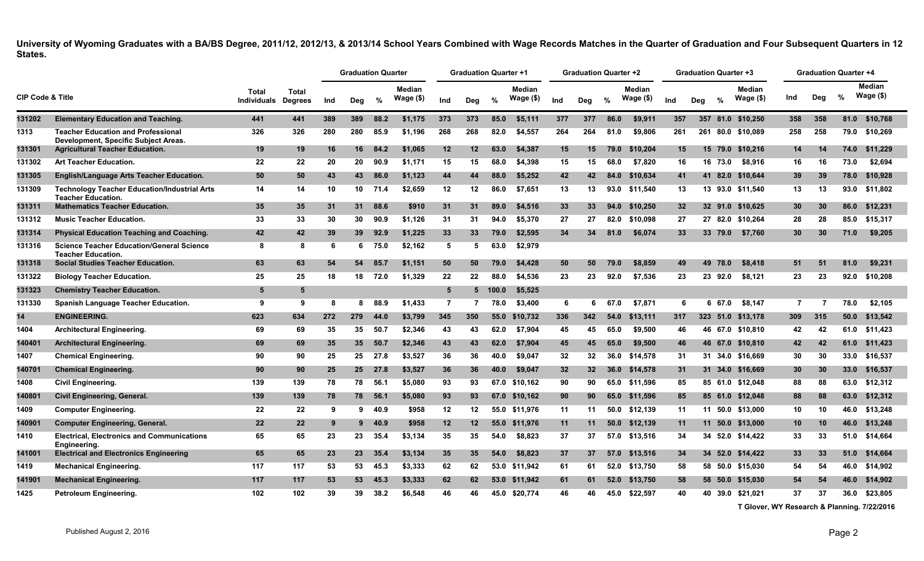|                             |                                                                                   |                             |                         |     | <b>Graduation Quarter</b> |      |                            |                 | <b>Graduation Quarter +1</b> |               |                     |                 | <b>Graduation Quarter +2</b> |      |                             |     | <b>Graduation Quarter +3</b> |          |                            |                | <b>Graduation Quarter +4</b> |      |                             |
|-----------------------------|-----------------------------------------------------------------------------------|-----------------------------|-------------------------|-----|---------------------------|------|----------------------------|-----------------|------------------------------|---------------|---------------------|-----------------|------------------------------|------|-----------------------------|-----|------------------------------|----------|----------------------------|----------------|------------------------------|------|-----------------------------|
| <b>CIP Code &amp; Title</b> |                                                                                   | Total<br><b>Individuals</b> | Total<br><b>Degrees</b> | Ind | Deg                       | %    | <b>Median</b><br>Wage (\$) | Ind             | Deg                          | $\frac{9}{6}$ | Median<br>Wage (\$) | Ind             | Deg                          | %    | <b>Median</b><br>Wage $($)$ | Ind | Deg                          | %        | <b>Median</b><br>Wage (\$) | Ind            | Deg                          | %    | <b>Median</b><br>Wage $($)$ |
| 131202                      | <b>Elementary Education and Teaching.</b>                                         | 441                         | 441                     | 389 | 389                       | 88.2 | \$1,175                    | 373             | 373                          | 85.0          | \$5,111             | 377             | 377                          | 86.0 | \$9.911                     | 357 |                              |          | 357 81.0 \$10.250          | 358            | 358                          | 81.0 | \$10,768                    |
| 1313                        | <b>Teacher Education and Professional</b><br>Development, Specific Subject Areas. | 326                         | 326                     | 280 | 280                       | 85.9 | \$1,196                    | 268             | 268                          | 82.0          | \$4,557             | 264             | 264                          | 81.0 | \$9,806                     | 261 | 261                          |          | 80.0 \$10,089              | 258            | 258                          |      | 79.0 \$10,269               |
| 131301                      | <b>Agricultural Teacher Education.</b>                                            | 19                          | 19                      | 16  | 16                        | 84.2 | \$1,065                    | 12              | 12                           | 63.0          | \$4,387             | 15              | 15                           | 79.0 | \$10,204                    | 15  |                              | 15 79.0  | \$10,216                   | 14             | -14                          | 74.0 | \$11,229                    |
| 131302                      | <b>Art Teacher Education.</b>                                                     | 22                          | 22                      | 20  | 20                        | 90.9 | \$1,171                    | 15              | 15                           | 68.0          | \$4,398             | 15              | 15                           | 68.0 | \$7,820                     | 16  |                              | 16 73.0  | \$8,916                    | 16             | 16                           | 73.0 | \$2,694                     |
| 131305                      | English/Language Arts Teacher Education.                                          | 50                          | 50                      | 43  | 43                        | 86.0 | \$1,123                    | 44              | 44                           | 88.0          | \$5,252             | 42              | 42                           | 84.0 | \$10,634                    | 41  |                              | 41 82.0  | \$10,644                   | 39             | -39                          | 78.0 | \$10,928                    |
| 131309                      | <b>Technology Teacher Education/Industrial Arts</b><br><b>Teacher Education.</b>  | 14                          | 14                      | 10  | 10                        | 71.4 | \$2,659                    | 12              | 12                           | 86.0          | \$7,651             | 13              | 13                           | 93.0 | \$11,540                    | 13  |                              |          | 13 93.0 \$11,540           | 13             | 13                           | 93.0 | \$11,802                    |
| 131311                      | <b>Mathematics Teacher Education.</b>                                             | 35                          | 35                      | 31  | 31                        | 88.6 | \$910                      | 31              | 31                           | 89.0          | \$4,516             | 33 <sub>3</sub> | 33                           | 94.0 | \$10,250                    | 32  |                              | 32 91.0  | \$10,625                   | 30             | 30                           | 86.0 | \$12,231                    |
| 131312                      | <b>Music Teacher Education.</b>                                                   | 33                          | 33                      | 30  | 30                        | 90.9 | \$1,126                    | 31              | 31                           | 94.0          | \$5,370             | 27              | 27                           | 82.0 | \$10,098                    | 27  |                              |          | 27 82.0 \$10,264           | 28             | 28                           | 85.0 | \$15,317                    |
| 131314                      | <b>Physical Education Teaching and Coaching.</b>                                  | 42                          | 42                      | 39  | 39                        | 92.9 | \$1,225                    | 33 <sub>°</sub> | 33                           | 79.0          | \$2,595             | 34              | 34                           | 81.0 | \$6,074                     | 33  |                              | 33 79.0  | \$7,760                    | 30             | 30                           | 71.0 | \$9,205                     |
| 131316                      | <b>Science Teacher Education/General Science</b><br><b>Teacher Education.</b>     | 8                           | 8                       | -6  | 6                         | 75.0 | \$2,162                    | 5               | -5                           | 63.0          | \$2.979             |                 |                              |      |                             |     |                              |          |                            |                |                              |      |                             |
| 131318                      | <b>Social Studies Teacher Education.</b>                                          | 63                          | 63                      | 54  | 54                        | 85.7 | \$1,151                    | 50              | 50                           | 79.0          | \$4,428             | 50              | 50                           | 79.0 | \$8,859                     | 49  | 49                           | 78.0     | \$8,418                    | 51             | -51                          | 81.0 | \$9,231                     |
| 131322                      | <b>Biology Teacher Education.</b>                                                 | 25                          | 25                      | 18  | 18                        | 72.0 | \$1,329                    | 22              | 22                           | 88.0          | \$4.536             | 23              | 23                           | 92.0 | \$7.536                     | 23  | 23                           | 92.0     | \$8,121                    | 23             | 23                           | 92.0 | \$10,208                    |
| 131323                      | <b>Chemistry Teacher Education.</b>                                               | 5                           | 5                       |     |                           |      |                            | $5\overline{5}$ |                              | 5 100.0       | \$5,525             |                 |                              |      |                             |     |                              |          |                            |                |                              |      |                             |
| 131330                      | <b>Spanish Language Teacher Education.</b>                                        | 9                           | 9                       | 8   | 8                         | 88.9 | \$1,433                    | $\overline{7}$  | 7                            | 78.0          | \$3,400             | 6               | 6                            | 67.0 | \$7.871                     | 6   | 6                            | 67.0     | \$8.147                    | $\overline{7}$ | -7                           | 78.0 | \$2,105                     |
| 14                          | <b>ENGINEERING.</b>                                                               | 623                         | 634                     | 272 | 279                       | 44.0 | \$3,799                    | 345             | 350                          | 55.0          | \$10,732            | 336             | 342                          | 54.0 | \$13,111                    | 317 |                              | 323 51.0 | \$13,178                   | 309            | 315                          | 50.0 | \$13,542                    |
| 1404                        | <b>Architectural Engineering.</b>                                                 | 69                          | 69                      | 35  | 35                        | 50.7 | \$2,346                    | 43              | 43                           | 62.0          | \$7,904             | 45              | 45                           | 65.0 | \$9,500                     | 46  |                              |          | 46 67.0 \$10,810           | 42             | 42                           |      | 61.0 \$11,423               |
| 140401                      | <b>Architectural Engineering.</b>                                                 | 69                          | 69                      | 35  | 35                        | 50.7 | \$2,346                    | 43              | 43                           | 62.0          | \$7,904             | 45              | 45                           | 65.0 | \$9,500                     | 46  |                              | 46 67.0  | \$10,810                   | 42             | 42                           | 61.0 | \$11,423                    |
| 1407                        | <b>Chemical Engineering.</b>                                                      | 90                          | 90                      | 25  | 25                        | 27.8 | \$3,527                    | 36              | 36                           | 40.0          | \$9,047             | 32              | 32                           | 36.0 | \$14,578                    | 31  |                              | 31 34.0  | \$16,669                   | 30             | 30                           | 33.0 | \$16,537                    |
| 140701                      | <b>Chemical Engineering.</b>                                                      | 90                          | 90                      | 25  | 25 <sub>2</sub>           | 27.8 | \$3,527                    | 36              | 36                           | 40.0          | \$9,047             | 32 <sub>2</sub> | 32 <sub>2</sub>              | 36.0 | \$14,578                    | 31  |                              |          | 31 34.0 \$16,669           | 30             | 30                           | 33.0 | \$16,537                    |
| 1408                        | <b>Civil Engineering.</b>                                                         | 139                         | 139                     | 78  | 78                        | 56.1 | \$5,080                    | 93              | 93                           |               | 67.0 \$10,162       | 90              | 90                           | 65.0 | \$11,596                    | 85  |                              |          | 85 61.0 \$12,048           | 88             | 88                           | 63.0 | \$12,312                    |
| 140801                      | Civil Engineering, General.                                                       | 139                         | 139                     | 78  | 78                        | 56.1 | \$5,080                    | 93              | 93                           | 67.0          | \$10,162            | 90              | 90                           | 65.0 | \$11,596                    | 85  |                              |          | 85 61.0 \$12,048           | 88             | 88                           | 63.0 | \$12,312                    |
| 1409                        | <b>Computer Engineering.</b>                                                      | 22                          | 22                      | 9   | 9                         | 40.9 | \$958                      | 12              | 12                           |               | 55.0 \$11,976       | 11              | 11                           |      | 50.0 \$12,139               | 11  |                              |          | 11 50.0 \$13,000           | 10             | 10                           | 46.0 | \$13,248                    |
| 140901                      | <b>Computer Engineering, General.</b>                                             | 22                          | 22                      | -9  | 9                         | 40.9 | \$958                      | 12              | 12                           | 55.0          | \$11,976            | 11              | 11                           | 50.0 | \$12,139                    | 11  |                              |          | 11 50.0 \$13,000           | 10             | 10                           | 46.0 | \$13,248                    |
| 1410                        | <b>Electrical, Electronics and Communications</b><br>Engineering.                 | 65                          | 65                      | 23  | 23                        | 35.4 | \$3,134                    | 35              | 35                           | 54.0          | \$8,823             | 37              | 37                           | 57.0 | \$13,516                    | 34  |                              |          | 34 52.0 \$14,422           | 33             | 33                           | 51.0 | \$14,664                    |
| 141001                      | <b>Electrical and Electronics Engineering</b>                                     | 65                          | 65                      | 23  | 23                        | 35.4 | \$3,134                    | 35              | 35                           | 54.0          | \$8,823             | 37              | 37                           | 57.0 | \$13,516                    | 34  |                              |          | 34 52.0 \$14,422           | 33             | 33                           | 51.0 | \$14,664                    |
| 1419                        | <b>Mechanical Engineering.</b>                                                    | 117                         | 117                     | 53  | 53                        | 45.3 | \$3,333                    | 62              | 62                           |               | 53.0 \$11,942       | 61              | 61                           | 52.0 | \$13.750                    | 58  |                              |          | 58 50.0 \$15.030           | 54             | 54                           | 46.0 | \$14,902                    |
| 141901                      | <b>Mechanical Engineering.</b>                                                    | 117                         | 117                     | 53  | 53                        | 45.3 | \$3,333                    | 62              | 62                           |               | 53.0 \$11,942       | 61              | 61                           | 52.0 | \$13,750                    | 58  |                              | 58 50.0  | \$15,030                   | 54             | -54                          | 46.0 | \$14,902                    |
| 1425                        | Petroleum Engineering.                                                            | 102                         | 102                     | 39  | 39                        | 38.2 | \$6,548                    | 46              | 46                           | 45.0          | \$20.774            | 46              | 46                           | 45.0 | \$22.597                    | 40  |                              | 40 39.0  | \$21,021                   | 37             | 37                           | 36.0 | \$23,805                    |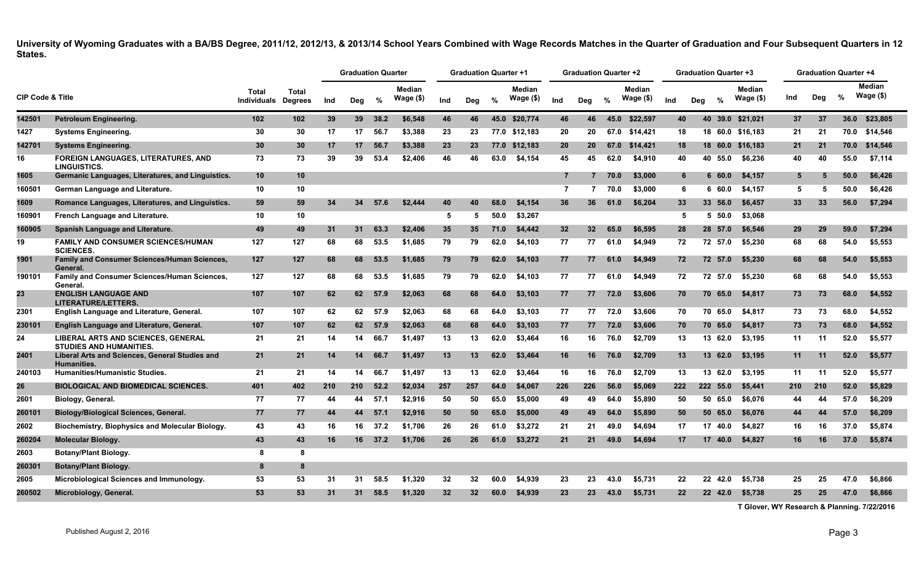|                             |                                                                      |                      |                                |     | <b>Graduation Quarter</b> |      |                            |     | <b>Graduation Quarter +1</b> |      |                     |                 | <b>Graduation Quarter +2</b> |      |                            |                 | <b>Graduation Quarter +3</b> |          |                     |     | <b>Graduation Quarter +4</b> |      |                      |
|-----------------------------|----------------------------------------------------------------------|----------------------|--------------------------------|-----|---------------------------|------|----------------------------|-----|------------------------------|------|---------------------|-----------------|------------------------------|------|----------------------------|-----------------|------------------------------|----------|---------------------|-----|------------------------------|------|----------------------|
| <b>CIP Code &amp; Title</b> |                                                                      | Total<br>Individuals | <b>Total</b><br><b>Degrees</b> | Ind | Deg                       | %    | <b>Median</b><br>Wage (\$) | Ind | Deg                          | %    | Median<br>Wage (\$) | Ind             | Deg                          | %    | <b>Median</b><br>Wage (\$) | Ind             | Deg                          | %        | Median<br>Wage (\$) | Ind | Deg                          | %    | Median<br>Wage $($)$ |
| 142501                      | Petroleum Engineering.                                               | 102                  | 102 <sub>1</sub>               | 39  | 39 <sup>°</sup>           | 38.2 | \$6,548                    | 46  | 46                           |      | 45.0 \$20.774       | 46              | 46                           | 45.0 | \$22,597                   | 40              |                              |          | 40 39.0 \$21.021    | 37  | 37                           |      | 36.0 \$23,805        |
| 1427                        | <b>Systems Engineering.</b>                                          | 30                   | 30                             | 17  | 17                        | 56.7 | \$3,388                    | 23  | 23                           |      | 77.0 \$12,183       | 20              | 20                           | 67.0 | \$14,421                   | 18              |                              |          | 18 60.0 \$16,183    | 21  | 21                           |      | 70.0 \$14,546        |
| 142701                      | <b>Systems Engineering.</b>                                          | 30                   | 30                             | 17  | 17                        | 56.7 | \$3,388                    | 23  | 23                           |      | 77.0 \$12,183       | 20              | 20 <sub>1</sub>              | 67.0 | \$14.421                   | 18              |                              |          | 18 60.0 \$16,183    | 21  | 21                           |      | 70.0 \$14,546        |
| 16                          | <b>FOREIGN LANGUAGES, LITERATURES, AND</b><br><b>LINGUISTICS.</b>    | 73                   | 73                             | 39  | 39                        | 53.4 | \$2,406                    | 46  | 46                           | 63.0 | \$4,154             | 45              | 45                           | 62.0 | \$4,910                    | 40              |                              | 40 55.0  | \$6,236             | 40  | 40                           | 55.0 | \$7,114              |
| 1605                        | Germanic Languages, Literatures, and Linguistics.                    | 10                   | 10                             |     |                           |      |                            |     |                              |      |                     | $\overline{7}$  | $\overline{7}$               | 70.0 | \$3,000                    | 6               |                              | 660.0    | \$4,157             | 5   | 5                            | 50.0 | \$6,426              |
| 160501                      | German Language and Literature.                                      | 10                   | 10                             |     |                           |      |                            |     |                              |      |                     | $\overline{7}$  | 7                            | 70.0 | \$3,000                    | 6               |                              | 6 60.0   | \$4,157             | 5   | 5                            | 50.0 | \$6,426              |
| 1609                        | Romance Languages, Literatures, and Linguistics.                     | 59                   | 59                             | 34  | 34                        | 57.6 | \$2,444                    | 40  | 40                           | 68.0 | \$4,154             | 36              | 36                           | 61.0 | \$6,204                    | 33 <sub>°</sub> |                              | 33 56.0  | \$6,457             | 33  | 33                           | 56.0 | \$7,294              |
| 160901                      | French Language and Literature.                                      | 10                   | 10                             |     |                           |      |                            | 5   | -5                           | 50.0 | \$3,267             |                 |                              |      |                            | 5               |                              | 5, 50.0  | \$3,068             |     |                              |      |                      |
| 160905                      | Spanish Language and Literature.                                     | 49                   | 49                             | 31  | 31                        | 63.3 | \$2,406                    | 35  | 35                           | 71.0 | \$4,442             | 32 <sub>2</sub> | 32 <sup>2</sup>              | 65.0 | \$6,595                    | 28              |                              | 28 57.0  | \$6,546             | 29  | 29                           | 59.0 | \$7,294              |
| 19                          | <b>FAMILY AND CONSUMER SCIENCES/HUMAN</b><br><b>SCIENCES</b>         | 127                  | 127                            | 68  | 68                        | 53.5 | \$1,685                    | 79  | 79                           | 62.0 | \$4,103             | 77              | 77                           | 61.0 | \$4,949                    | 72              |                              | 72 57.0  | \$5,230             | 68  | 68                           | 54.0 | \$5,553              |
| 1901                        | <b>Family and Consumer Sciences/Human Sciences,</b><br>General.      | 127                  | 127                            | 68  | 68                        | 53.5 | \$1,685                    | 79  | 79                           | 62.0 | \$4,103             | 77              | 77                           | 61.0 | \$4,949                    | 72              |                              | 72 57.0  | \$5,230             | 68  | 68                           | 54.0 | \$5,553              |
| 190101                      | Family and Consumer Sciences/Human Sciences,<br>General.             | 127                  | 127                            | 68  | 68                        | 53.5 | \$1.685                    | 79  | 79                           | 62.0 | \$4,103             | 77              | 77                           | 61.0 | \$4.949                    | 72              |                              | 72 57.0  | \$5.230             | 68  | 68                           | 54.0 | \$5,553              |
| 23                          | <b>ENGLISH LANGUAGE AND</b><br><b>LITERATURE/LETTERS.</b>            | 107                  | 107                            | 62  | 62                        | 57.9 | \$2,063                    | 68  | 68                           | 64.0 | \$3,103             | 77              | 77                           | 72.0 | \$3,606                    | 70              |                              | 70 65.0  | \$4,817             | 73  | 73                           | 68.0 | \$4,552              |
| 2301                        | English Language and Literature, General.                            | 107                  | 107                            | 62  | 62                        | 57.9 | \$2,063                    | 68  | 68                           | 64.0 | \$3,103             | 77              | 77                           | 72.0 | \$3,606                    | 70              |                              | 70 65.0  | \$4,817             | 73  | 73                           | 68.0 | \$4,552              |
| 230101                      | English Language and Literature, General.                            | 107                  | 107                            | 62  | 62                        | 57.9 | \$2,063                    | 68  | 68                           | 64.0 | \$3,103             | 77              | 77                           | 72.0 | \$3,606                    | 70              |                              | 70 65.0  | \$4,817             | 73  | 73                           | 68.0 | \$4,552              |
| 24                          | LIBERAL ARTS AND SCIENCES, GENERAL<br><b>STUDIES AND HUMANITIES.</b> | 21                   | 21                             | 14  | 14                        | 66.7 | \$1,497                    | 13  | 13                           | 62.0 | \$3,464             | 16              | 16                           | 76.0 | \$2,709                    | 13              |                              | 13 62.0  | \$3,195             | 11  | -11                          | 52.0 | \$5,577              |
| 2401                        | Liberal Arts and Sciences, General Studies and<br>Humanities.        | 21                   | 21                             | 14  | 14                        | 66.7 | \$1.497                    | 13  | 13                           | 62.0 | \$3.464             | 16              | 16                           | 76.0 | \$2.709                    | 13              |                              | 13 62.0  | \$3.195             | 11  | 11                           | 52.0 | \$5,577              |
| 240103                      | <b>Humanities/Humanistic Studies.</b>                                | 21                   | 21                             | 14  | 14                        | 66.7 | \$1,497                    | 13  | 13                           | 62.0 | \$3,464             | 16              | 16                           | 76.0 | \$2,709                    | 13              |                              | 13 62.0  | \$3,195             | 11  | 11                           | 52.0 | \$5,577              |
| 26                          | <b>BIOLOGICAL AND BIOMEDICAL SCIENCES.</b>                           | 401                  | 402                            | 210 | 210                       | 52.2 | \$2,034                    | 257 | 257                          | 64.0 | \$4.067             | 226             | 226                          | 56.0 | \$5.069                    | 222             |                              | 222 55.0 | \$5,441             | 210 | 210                          | 52.0 | \$5,829              |
| 2601                        | Biology, General.                                                    | 77                   | 77                             | 44  | 44                        | 57.1 | \$2,916                    | 50  | 50                           | 65.0 | \$5,000             | 49              | 49                           | 64.0 | \$5.890                    | 50              |                              | 50 65.0  | \$6.076             | 44  | 44                           | 57.0 | \$6,209              |
| 260101                      | <b>Biology/Biological Sciences, General.</b>                         | 77                   | 77                             | 44  | 44                        | 57.1 | \$2,916                    | 50  | 50                           | 65.0 | \$5,000             | 49              | 49                           | 64.0 | \$5,890                    | 50              |                              | 50 65.0  | \$6,076             | 44  | 44                           | 57.0 | \$6,209              |
| 2602                        | Biochemistry, Biophysics and Molecular Biology.                      | 43                   | 43                             | 16  | 16                        | 37.2 | \$1,706                    | 26  | 26                           | 61.0 | \$3,272             | 21              | 21                           | 49.0 | \$4.694                    | 17              |                              | 17 40.0  | \$4,827             | 16  | 16                           | 37.0 | \$5,874              |
| 260204                      | <b>Molecular Biology.</b>                                            | 43                   | 43                             | 16  | 16                        | 37.2 | \$1,706                    | 26  | 26                           | 61.0 | \$3,272             | 21              | 21                           | 49.0 | \$4,694                    | 17              |                              | 17 40.0  | \$4,827             | 16  | 16                           | 37.0 | \$5,874              |
| 2603                        | <b>Botany/Plant Biology.</b>                                         | 8                    | 8                              |     |                           |      |                            |     |                              |      |                     |                 |                              |      |                            |                 |                              |          |                     |     |                              |      |                      |
| 260301                      | <b>Botany/Plant Biology.</b>                                         | 8                    | 8                              |     |                           |      |                            |     |                              |      |                     |                 |                              |      |                            |                 |                              |          |                     |     |                              |      |                      |
| 2605                        | Microbiological Sciences and Immunology.                             | 53                   | 53                             | 31  | 31                        | 58.5 | \$1.320                    | 32  | 32                           | 60.0 | \$4.939             | 23              | 23                           | 43.0 | \$5.731                    | 22              |                              | 22 42.0  | \$5.738             | 25  | 25                           | 47.0 | \$6.866              |
| 260502                      | Microbiology, General.                                               | 53                   | 53                             | 31  | 31                        | 58.5 | \$1,320                    | 32  | 32                           | 60.0 | \$4.939             | 23              | 23                           | 43.0 | \$5.731                    | 22              |                              | 22 42.0  | \$5.738             | 25  | 25                           | 47.0 | \$6,866              |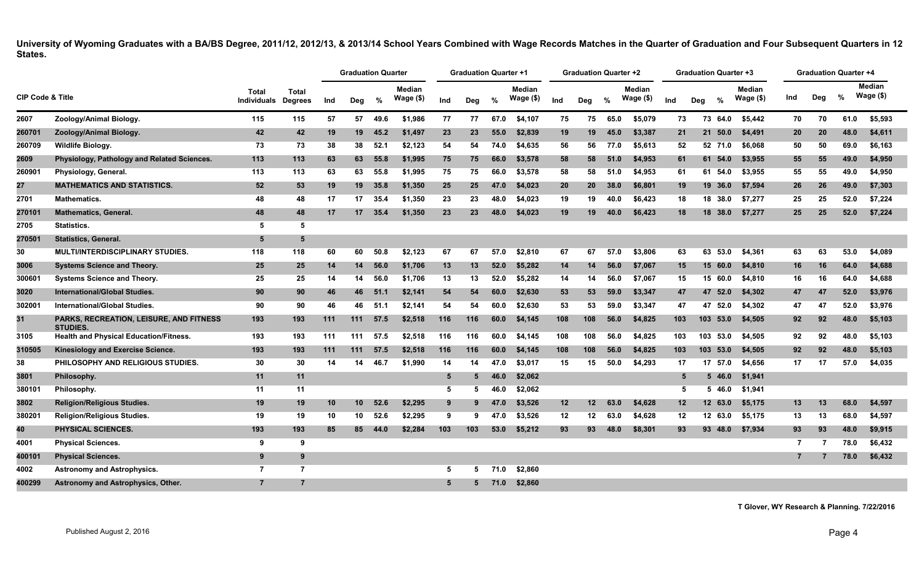|                             |                                                                   |                             |                                |     | <b>Graduation Quarter</b> |      |                            |                 | <b>Graduation Quarter +1</b> |      |                            |     | <b>Graduation Quarter +2</b> |      |                            |                 | <b>Graduation Quarter +3</b> |               |                            |                |     | <b>Graduation Quarter +4</b> |                            |
|-----------------------------|-------------------------------------------------------------------|-----------------------------|--------------------------------|-----|---------------------------|------|----------------------------|-----------------|------------------------------|------|----------------------------|-----|------------------------------|------|----------------------------|-----------------|------------------------------|---------------|----------------------------|----------------|-----|------------------------------|----------------------------|
| <b>CIP Code &amp; Title</b> |                                                                   | Total<br><b>Individuals</b> | <b>Total</b><br><b>Degrees</b> | Ind | Deg                       | %    | <b>Median</b><br>Wage (\$) | Ind             | Dea                          | %    | <b>Median</b><br>Wage (\$) | Ind | Deg                          | %    | <b>Median</b><br>Wage (\$) | Ind             | Dea                          | $\frac{9}{6}$ | <b>Median</b><br>Wage (\$) | Ind            | Deg | $\%$                         | <b>Median</b><br>Wage (\$) |
| 2607                        | Zoology/Animal Biology.                                           | 115                         | 115                            | 57  | 57                        | 49.6 | \$1,986                    | 77              | 77                           | 67.0 | \$4.107                    | 75  | 75                           | 65.0 | \$5.079                    | 73              | 73                           | 64.0          | \$5.442                    | 70             | 70  | 61.0                         | \$5.593                    |
| 260701                      | Zoology/Animal Biology.                                           | 42                          | 42                             | 19  | 19                        | 45.2 | \$1,497                    | 23              | 23                           | 55.0 | \$2,839                    | 19  | 19                           | 45.0 | \$3,387                    | 21              |                              | 21 50.0       | \$4,491                    | 20             | 20  | 48.0                         | \$4,611                    |
| 260709                      | <b>Wildlife Biology.</b>                                          | 73                          | 73                             | 38  | 38                        | 52.1 | \$2,123                    | 54              | 54                           | 74.0 | \$4.635                    | 56  | 56                           | 77.0 | \$5,613                    | 52              |                              | 52 71.0       | \$6.068                    | 50             | 50  | 69.0                         | \$6.163                    |
| 2609                        | Physiology, Pathology and Related Sciences.                       | 113                         | 113                            | 63  | 63                        | 55.8 | \$1,995                    | 75              | 75                           | 66.0 | \$3,578                    | 58  | 58                           | 51.0 | \$4,953                    | 61              |                              | 61 54.0       | \$3,955                    | 55             | 55  | 49.0                         | \$4,950                    |
| 260901                      | Physiology, General.                                              | 113                         | 113                            | 63  | 63                        | 55.8 | \$1,995                    | 75              | 75                           | 66.0 | \$3,578                    | 58  | 58                           | 51.0 | \$4,953                    | 61              |                              | 61 54.0       | \$3.955                    | 55             | 55  | 49.0                         | \$4,950                    |
| 27                          | <b>MATHEMATICS AND STATISTICS.</b>                                | 52                          | 53                             | 19  | 19 <sup>1</sup>           | 35.8 | \$1,350                    | 25              | 25                           | 47.0 | \$4,023                    | 20  | 20                           | 38.0 | \$6,801                    | 19              |                              | 19 36.0       | \$7,594                    | 26             | 26  | 49.0                         | \$7,303                    |
| 2701                        | <b>Mathematics.</b>                                               | 48                          | 48                             | 17  | 17 <sup>1</sup>           | 35.4 | \$1,350                    | 23              | 23                           | 48.0 | \$4,023                    | 19  | 19                           | 40.0 | \$6,423                    | 18              |                              | 18 38.0       | \$7,277                    | 25             | 25  | 52.0                         | \$7,224                    |
| 270101                      | <b>Mathematics, General.</b>                                      | 48                          | 48                             | 17  | 17 <sup>7</sup>           | 35.4 | \$1,350                    | 23              | 23                           | 48.0 | \$4,023                    | 19  | 19                           | 40.0 | \$6,423                    | 18              |                              | 18 38.0       | \$7,277                    | 25             | 25  | 52.0                         | \$7,224                    |
| 2705                        | Statistics.                                                       | 5                           | 5                              |     |                           |      |                            |                 |                              |      |                            |     |                              |      |                            |                 |                              |               |                            |                |     |                              |                            |
| 270501                      | <b>Statistics, General.</b>                                       | 5                           | 5                              |     |                           |      |                            |                 |                              |      |                            |     |                              |      |                            |                 |                              |               |                            |                |     |                              |                            |
| 30                          | MULTI/INTERDISCIPLINARY STUDIES.                                  | 118                         | 118                            | 60  | 60                        | 50.8 | \$2,123                    | 67              | 67                           | 57.0 | \$2,810                    | 67  | 67                           | 57.0 | \$3,806                    | 63              | 63                           | 53.0          | \$4,361                    | 63             | 63  | 53.0                         | \$4,089                    |
| 3006                        | <b>Systems Science and Theory.</b>                                | 25                          | 25                             | 14  | 14                        | 56.0 | \$1,706                    | 13              | 13                           | 52.0 | \$5,282                    | 14  | 14                           | 56.0 | \$7,067                    | 15              |                              | 15 60.0       | \$4,810                    | 16             | 16  | 64.0                         | \$4,688                    |
| 300601                      | <b>Systems Science and Theory.</b>                                | 25                          | 25                             | 14  | 14                        | 56.0 | \$1,706                    | 13              | 13                           | 52.0 | \$5,282                    | 14  | 14                           | 56.0 | \$7,067                    | 15              |                              | 15 60.0       | \$4,810                    | 16             | 16  | 64.0                         | \$4,688                    |
| 3020                        | <b>International/Global Studies.</b>                              | 90                          | 90                             | 46  | 46                        | 51.1 | \$2,141                    | 54              | 54                           | 60.0 | \$2,630                    | 53  | 53                           | 59.0 | \$3,347                    | 47              | 47                           | 52.0          | \$4,302                    | 47             | 47  | 52.0                         | \$3,976                    |
| 302001                      | International/Global Studies.                                     | 90                          | 90                             | 46  | 46                        | 51.1 | \$2,141                    | 54              | 54                           | 60.0 | \$2,630                    | 53  | 53                           | 59.0 | \$3,347                    | 47              |                              | 47 52.0       | \$4,302                    | 47             | 47  | 52.0                         | \$3,976                    |
| 31                          | <b>PARKS, RECREATION, LEISURE, AND FITNESS</b><br><b>STUDIES.</b> | 193                         | 193                            | 111 | 111                       | 57.5 | \$2,518                    | 116             | 116                          | 60.0 | \$4,145                    | 108 | 108                          | 56.0 | \$4,825                    | 103             |                              | 103 53.0      | \$4,505                    | 92             | 92  | 48.0                         | \$5,103                    |
| 3105                        | <b>Health and Physical Education/Fitness.</b>                     | 193                         | 193                            | 111 | 111                       | 57.5 | \$2,518                    | 116             | 116                          | 60.0 | \$4,145                    | 108 | 108                          | 56.0 | \$4,825                    | 103             |                              | 103 53.0      | \$4,505                    | 92             | 92  | 48.0                         | \$5.103                    |
| 310505                      | Kinesiology and Exercise Science.                                 | 193                         | 193                            | 111 | 111                       | 57.5 | \$2,518                    | 116             | 116                          | 60.0 | \$4,145                    | 108 | 108                          | 56.0 | \$4,825                    | 103             |                              | 103 53.0      | \$4,505                    | 92             | 92  | 48.0                         | \$5,103                    |
| 38                          | PHILOSOPHY AND RELIGIOUS STUDIES.                                 | 30                          | 30                             | 14  | 14                        | 46.7 | \$1,990                    | 14              | 14                           | 47.0 | \$3,017                    | 15  | 15                           | 50.0 | \$4,293                    | 17              |                              | 17 57.0       | \$4,656                    | 17             | 17  | 57.0                         | \$4,035                    |
| 3801                        | Philosophy.                                                       | 11                          | 11                             |     |                           |      |                            | $5\overline{)}$ | 5                            | 46.0 | \$2,062                    |     |                              |      |                            | 5               |                              | $5\,46.0$     | \$1,941                    |                |     |                              |                            |
| 380101                      | Philosophy.                                                       | 11                          | 11                             |     |                           |      |                            | 5               | 5                            | 46.0 | \$2,062                    |     |                              |      |                            | 5               |                              | 5 46.0        | \$1,941                    |                |     |                              |                            |
| 3802                        | <b>Religion/Religious Studies.</b>                                | 19                          | 19                             | 10  | 10                        | 52.6 | \$2,295                    | 9               | 9                            | 47.0 | \$3,526                    | 12  | 12 <sub>2</sub>              | 63.0 | \$4,628                    | 12              |                              | 12 63.0       | \$5,175                    | 13             | 13  | 68.0                         | \$4,597                    |
| 380201                      | Religion/Religious Studies.                                       | 19                          | 19                             | 10  | 10                        | 52.6 | \$2,295                    | 9               | 9                            | 47.0 | \$3.526                    | 12  | $12 \,$                      | 63.0 | \$4.628                    | 12 <sup>°</sup> |                              | 12 63.0       | \$5.175                    | 13             | 13  | 68.0                         | \$4.597                    |
| 40                          | PHYSICAL SCIENCES.                                                | 193                         | 193                            | 85  | 85                        | 44.0 | \$2,284                    | 103             | 103                          | 53.0 | \$5,212                    | 93  | 93                           | 48.0 | \$8,301                    | 93              |                              | 93 48.0       | \$7,934                    | 93             | 93  | 48.0                         | \$9,915                    |
| 4001                        | <b>Physical Sciences.</b>                                         | 9                           | 9                              |     |                           |      |                            |                 |                              |      |                            |     |                              |      |                            |                 |                              |               |                            | 7              | -7  | 78.0                         | \$6,432                    |
| 400101                      | <b>Physical Sciences.</b>                                         | 9                           | 9                              |     |                           |      |                            |                 |                              |      |                            |     |                              |      |                            |                 |                              |               |                            | $\overline{7}$ |     | 78.0                         | \$6,432                    |
| 4002                        | <b>Astronomy and Astrophysics.</b>                                | 7                           | $\overline{7}$                 |     |                           |      |                            | 5               | 5                            | 71.0 | \$2,860                    |     |                              |      |                            |                 |                              |               |                            |                |     |                              |                            |
| 400299                      | Astronomy and Astrophysics, Other.                                | $\overline{7}$              | $\overline{7}$                 |     |                           |      |                            | 5               | 5                            | 71.0 | \$2,860                    |     |                              |      |                            |                 |                              |               |                            |                |     |                              |                            |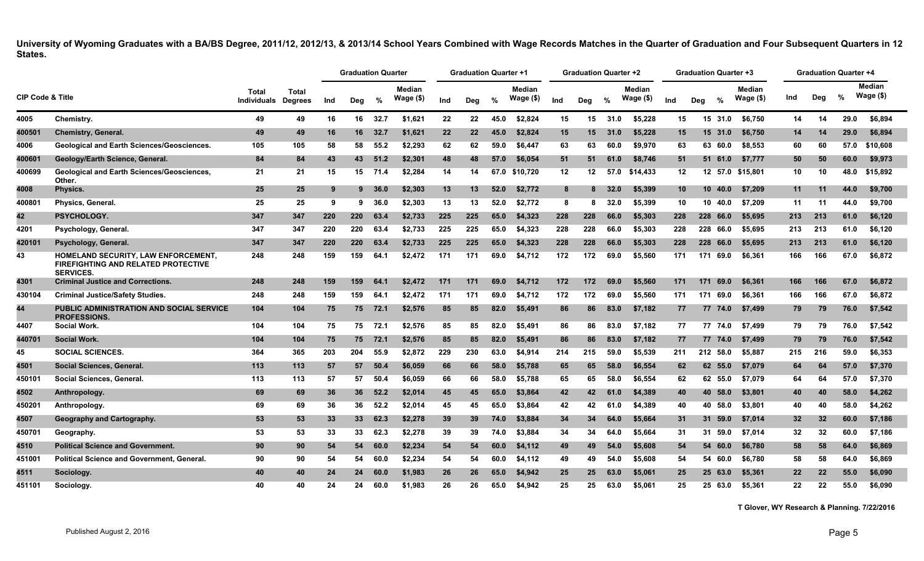|                             |                                                                                                              |                                    |                                |     | <b>Graduation Quarter</b> |         |                            |     | Graduation Quarter +1 |      |                            |                 | <b>Graduation Quarter +2</b> |      |                     |                 | <b>Graduation Quarter +3</b> |                             |     |     | <b>Graduation Quarter +4</b> |                     |
|-----------------------------|--------------------------------------------------------------------------------------------------------------|------------------------------------|--------------------------------|-----|---------------------------|---------|----------------------------|-----|-----------------------|------|----------------------------|-----------------|------------------------------|------|---------------------|-----------------|------------------------------|-----------------------------|-----|-----|------------------------------|---------------------|
| <b>CIP Code &amp; Title</b> |                                                                                                              | <b>Total</b><br><b>Individuals</b> | <b>Total</b><br><b>Degrees</b> | Ind | Deg                       | %       | <b>Median</b><br>Wage (\$) | Ind | Deg                   | %    | <b>Median</b><br>Wage (\$) | Ind             | Deg                          | %    | Median<br>Wage (\$) | Ind             | $\frac{0}{0}$<br>Deg         | <b>Median</b><br>Wage $($)$ | Ind | Dea | $\%$                         | Median<br>Wage (\$) |
| 4005                        | Chemistry.                                                                                                   | 49                                 | 49                             | 16  | 16                        | 32.7    | \$1.621                    | 22  | 22                    | 45.0 | \$2,824                    | 15              | 15                           | 31.0 | \$5,228             | 15              | 15 31.0                      | \$6.750                     | 14  | 14  | 29.0                         | \$6,894             |
| 400501                      | <b>Chemistry, General.</b>                                                                                   | 49                                 | 49                             | 16  | 16                        | 32.7    | \$1.621                    | 22  | 22                    | 45.0 | \$2.824                    | 15              | 15                           | 31.0 | \$5.228             | 15              | 15 31.0                      | \$6,750                     | 14  | 14  | 29.0                         | \$6,894             |
| 4006                        | <b>Geological and Earth Sciences/Geosciences.</b>                                                            | 105                                | 105                            | 58  | 58                        | 55.2    | \$2,293                    | 62  | 62                    | 59.0 | \$6,447                    | 63              | 63                           | 60.0 | \$9,970             | 63              | 63 60.0                      | \$8,553                     | 60  | 60  | 57.0                         | \$10,608            |
| 400601                      | Geology/Earth Science, General.                                                                              | 84                                 | 84                             | 43  | 43                        | 51.2    | \$2,301                    | 48  | 48                    | 57.0 | \$6,054                    | 51              | 51                           | 61.0 | \$8,746             | 51              | 51 61.0                      | \$7,777                     | 50  | 50  | 60.0                         | \$9,973             |
| 400699                      | <b>Geological and Earth Sciences/Geosciences,</b><br>Other.                                                  | 21                                 | 21                             | 15  | 15                        | 71.4    | \$2,284                    | 14  | 14                    |      | 67.0 \$10,720              | 12 <sub>2</sub> | 12                           | 57.0 | \$14,433            | 12              |                              | 12 57.0 \$15,801            | 10  | 10  | 48.0                         | \$15,892            |
| 4008                        | Physics.                                                                                                     | 25                                 | 25                             | -9  |                           | 9, 36.0 | \$2,303                    | 13  | 13                    | 52.0 | \$2,772                    | 8               | 8                            | 32.0 | \$5,399             | 10 <sup>1</sup> | 10, 40.0                     | \$7,209                     | 11  | 11  | 44.0                         | \$9,700             |
| 400801                      | <b>Physics, General.</b>                                                                                     | 25                                 | 25                             | 9   | 9                         | 36.0    | \$2,303                    | 13  | 13                    | 52.0 | \$2,772                    | 8               | 8                            | 32.0 | \$5,399             | 10              | 10 40.0                      | \$7,209                     | 11  | 11  | 44.0                         | \$9,700             |
| 42                          | PSYCHOLOGY.                                                                                                  | 347                                | 347                            | 220 | 220                       | 63.4    | \$2,733                    | 225 | 225                   | 65.0 | \$4,323                    | 228             | 228                          | 66.0 | \$5,303             | 228             | 228 66.0                     | \$5,695                     | 213 | 213 | 61.0                         | \$6,120             |
| 4201                        | Psychology, General.                                                                                         | 347                                | 347                            | 220 | 220                       | 63.4    | \$2,733                    | 225 | 225                   | 65.0 | \$4,323                    | 228             | 228                          | 66.0 | \$5,303             | 228             | 228 66.0                     | \$5,695                     | 213 | 213 | 61.0                         | \$6,120             |
| 420101                      | Psychology, General.                                                                                         | 347                                | 347                            | 220 | 220                       | 63.4    | \$2,733                    | 225 | 225                   | 65.0 | \$4,323                    | 228             | 228                          | 66.0 | \$5,303             | 228             | 228 66.0                     | \$5,695                     | 213 | 213 | 61.0                         | \$6,120             |
| 43                          | <b>HOMELAND SECURITY, LAW ENFORCEMENT,</b><br><b>FIREFIGHTING AND RELATED PROTECTIVE</b><br><b>SERVICES.</b> | 248                                | 248                            | 159 | 159                       | 64.1    | \$2,472                    | 171 | 171                   | 69.0 | \$4,712                    | 172             | 172                          | 69.0 | \$5,560             | 171             | 171<br>69.0                  | \$6.361                     | 166 | 166 | 67.0                         | \$6,872             |
| 4301                        | <b>Criminal Justice and Corrections</b>                                                                      | 248                                | 248                            | 159 | 159                       | 64.1    | \$2.472                    | 171 | 171                   | 69.0 | \$4.712                    | 172             | 172                          | 69.0 | \$5.560             | 171             | 69.0<br>171                  | \$6.361                     | 166 | 166 | 67.0                         | \$6,872             |
| 430104                      | <b>Criminal Justice/Safety Studies.</b>                                                                      | 248                                | 248                            | 159 | 159                       | 64.1    | \$2,472                    | 171 | 171                   | 69.0 | \$4,712                    | 172             | 172                          | 69.0 | \$5,560             | 171             | 171<br>69.0                  | \$6,361                     | 166 | 166 | 67.0                         | \$6,872             |
| 44                          | PUBLIC ADMINISTRATION AND SOCIAL SERVICE<br><b>PROFESSIONS.</b>                                              | 104                                | 104                            | 75  |                           | 75 72.1 | \$2,576                    | 85  | 85                    | 82.0 | \$5,491                    | 86              | 86                           | 83.0 | \$7,182             | 77              | 77 74.0                      | \$7,499                     | 79  | 79  | 76.0                         | \$7,542             |
| 4407                        | Social Work.                                                                                                 | 104                                | 104                            | 75  | 75                        | 72.1    | \$2,576                    | 85  | 85                    | 82.0 | \$5.491                    | 86              | 86                           | 83.0 | \$7,182             | 77              | 77 74.0                      | \$7.499                     | 79  | 79  | 76.0                         | \$7,542             |
| 440701                      | <b>Social Work.</b>                                                                                          | 104                                | 104                            | 75  | 75                        | 72.1    | \$2,576                    | 85  | 85                    | 82.0 | \$5,491                    | 86              | 86                           | 83.0 | \$7,182             | 77              | 77 74.0                      | \$7.499                     | 79  | 79  | 76.0                         | \$7,542             |
| 45                          | <b>SOCIAL SCIENCES.</b>                                                                                      | 364                                | 365                            | 203 | 204                       | 55.9    | \$2,872                    | 229 | 230                   | 63.0 | \$4,914                    | 214             | 215                          | 59.0 | \$5,539             | 211             | 212 58.0                     | \$5,887                     | 215 | 216 | 59.0                         | \$6,353             |
| 4501                        | Social Sciences, General.                                                                                    | 113                                | 113                            | 57  | 57                        | 50.4    | \$6,059                    | 66  | 66                    | 58.0 | \$5,788                    | 65              | 65                           | 58.0 | \$6,554             | 62              | 62 55.0                      | \$7,079                     | 64  | 64  | 57.0                         | \$7,370             |
| 450101                      | Social Sciences, General.                                                                                    | 113                                | 113                            | 57  | 57                        | 50.4    | \$6,059                    | 66  | 66                    | 58.0 | \$5,788                    | 65              | 65                           | 58.0 | \$6,554             | 62              | 62 55.0                      | \$7,079                     | 64  | 64  | 57.0                         | \$7,370             |
| 4502                        | Anthropology.                                                                                                | 69                                 | 69                             | 36  | 36                        | 52.2    | \$2,014                    | 45  | 45                    | 65.0 | \$3.864                    | 42              | 42                           | 61.0 | \$4.389             | 40              | 40 58.0                      | \$3,801                     | 40  | 40  | 58.0                         | \$4,262             |
| 450201                      | Anthropology.                                                                                                | 69                                 | 69                             | 36  | 36                        | 52.2    | \$2.014                    | 45  | 45                    | 65.0 | \$3.864                    | 42              | 42                           | 61.0 | \$4.389             | 40              | 40 58.0                      | \$3.801                     | 40  | 40  | 58.0                         | \$4,262             |
| 4507                        | Geography and Cartography.                                                                                   | 53                                 | 53                             | 33  | 33 <sup>°</sup>           | 62.3    | \$2,278                    | 39  | 39                    | 74.0 | \$3,884                    | 34              | 34                           | 64.0 | \$5,664             | 31              | 31 59.0                      | \$7,014                     | 32  | 32  | 60.0                         | \$7,186             |
| 450701                      | Geography.                                                                                                   | 53                                 | 53                             | 33  | 33                        | 62.3    | \$2,278                    | 39  | 39                    | 74.0 | \$3,884                    | 34              | 34                           | 64.0 | \$5,664             | 31              | 31 59.0                      | \$7,014                     | 32  | 32  | 60.0                         | \$7,186             |
| 4510                        | <b>Political Science and Government.</b>                                                                     | 90                                 | 90                             | 54  | 54                        | 60.0    | \$2,234                    | 54  | 54                    | 60.0 | \$4,112                    | 49              | 49                           | 54.0 | \$5,608             | 54              | 54 60.0                      | \$6,780                     | 58  | 58  | 64.0                         | \$6,869             |
| 451001                      | <b>Political Science and Government, General.</b>                                                            | 90                                 | 90                             | 54  | 54                        | 60.0    | \$2,234                    | 54  | 54                    | 60.0 | \$4,112                    | 49              | 49                           | 54.0 | \$5,608             | 54              | 54 60.0                      | \$6,780                     | 58  | 58  | 64.0                         | \$6,869             |
| 4511                        | Sociology.                                                                                                   | 40                                 | 40                             | 24  | 24                        | 60.0    | \$1,983                    | 26  | 26                    | 65.0 | \$4.942                    | 25              | 25                           | 63.0 | \$5,061             | 25              | 25 63.0                      | \$5,361                     | 22  | 22  | 55.0                         | \$6,090             |
| 451101                      | Sociology.                                                                                                   | 40                                 | 40                             | 24  | 24                        | 60.0    | \$1.983                    | 26  | 26                    | 65.0 | \$4.942                    | 25              | 25                           | 63.0 | \$5.061             | 25              | 25 63.0                      | \$5.361                     | 22  | 22  | 55.0                         | \$6,090             |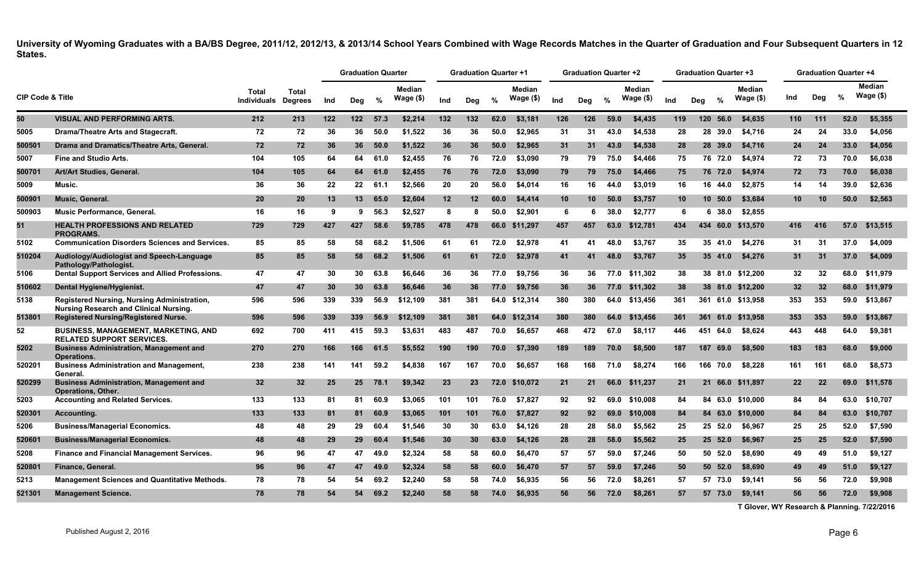|                             |                                                                                              |                                    |                                |     | <b>Graduation Quarter</b> |      |                     |     | <b>Graduation Quarter +1</b> |               |                     |                 | <b>Graduation Quarter +2</b> |      |                            |     | Graduation Quarter +3 |               |                     |     | <b>Graduation Quarter +4</b> |      |                      |
|-----------------------------|----------------------------------------------------------------------------------------------|------------------------------------|--------------------------------|-----|---------------------------|------|---------------------|-----|------------------------------|---------------|---------------------|-----------------|------------------------------|------|----------------------------|-----|-----------------------|---------------|---------------------|-----|------------------------------|------|----------------------|
| <b>CIP Code &amp; Title</b> |                                                                                              | <b>Total</b><br><b>Individuals</b> | <b>Total</b><br><b>Degrees</b> | Ind | Deg                       | %    | Median<br>Wage (\$) | Ind | Dea                          | $\frac{9}{6}$ | Median<br>Wage (\$) | Ind             | Deg                          | %    | <b>Median</b><br>Wage (\$) | Ind | Dea                   | $\frac{9}{6}$ | Median<br>Wage (\$) | Ind | Deg                          | %    | Median<br>Wage $($)$ |
| 50                          | <b>VISUAL AND PERFORMING ARTS.</b>                                                           | 212                                | 213                            | 122 | 122                       | 57.3 | \$2,214             | 132 | 132                          | 62.0          | \$3,181             | 126             | 126                          | 59.0 | \$4,435                    | 119 | 120                   | 56.0          | \$4,635             | 110 | 111                          | 52.0 | \$5,355              |
| 5005                        | Drama/Theatre Arts and Stagecraft.                                                           | 72                                 | 72                             | 36  | 36                        | 50.0 | \$1,522             | 36  | 36                           | 50.0          | \$2.965             | 31              | 31                           | 43.0 | \$4,538                    | 28  |                       | 28 39.0       | \$4,716             | 24  | 24                           | 33.0 | \$4,056              |
| 500501                      | Drama and Dramatics/Theatre Arts, General.                                                   | 72                                 | 72                             | 36  | 36                        | 50.0 | \$1,522             | 36  | 36                           | 50.0          | \$2,965             | 31              | 31                           | 43.0 | \$4,538                    | 28  |                       | 28 39.0       | \$4,716             | 24  | 24                           | 33.0 | \$4,056              |
| 5007                        | <b>Fine and Studio Arts.</b>                                                                 | 104                                | 105                            | 64  | 64                        | 61.0 | \$2,455             | 76  | 76                           | 72.0          | \$3,090             | 79              | 79                           | 75.0 | \$4,466                    | 75  |                       | 76 72.0       | \$4,974             | 72  | 73                           | 70.0 | \$6.038              |
| 500701                      | Art/Art Studies, General.                                                                    | 104                                | 105                            | 64  | 64                        | 61.0 | \$2,455             | 76  | 76                           | 72.0          | \$3,090             | 79              | 79                           | 75.0 | \$4,466                    | 75  |                       | 76 72.0       | \$4,974             | 72  | 73                           | 70.0 | \$6,038              |
| 5009                        | Music.                                                                                       | 36                                 | 36                             | 22  | $22 \,$                   | 61.1 | \$2,566             | 20  | 20                           | 56.0          | \$4,014             | 16              | 16                           | 44.0 | \$3,019                    | 16  |                       | 16 44.0       | \$2,875             | 14  | 14                           | 39.0 | \$2,636              |
| 500901                      | Music, General.                                                                              | 20                                 | 20                             | 13  | 13                        | 65.0 | \$2,604             | 12  | 12                           | 60.0          | \$4,414             | 10 <sup>°</sup> | 10                           | 50.0 | \$3,757                    | 10  |                       | 10, 50.0      | \$3,684             | 10  | 10                           | 50.0 | \$2,563              |
| 500903                      | <b>Music Performance, General.</b>                                                           | 16                                 | 16                             | 9   | 9                         | 56.3 | \$2,527             | 8   | -8                           | 50.0          | \$2.901             | 6               | 6                            | 38.0 | \$2,777                    | 6   |                       | 38.0<br>6.    | \$2.855             |     |                              |      |                      |
| 51                          | <b>HEALTH PROFESSIONS AND RELATED</b><br><b>PROGRAMS.</b>                                    | 729                                | 729                            | 427 | 427                       | 58.6 | \$9,785             | 478 | 478                          | 66.0          | \$11.297            | 457             | 457                          | 63.0 | \$12.781                   | 434 | 434                   | 60.0          | \$13.570            | 416 | 416                          |      | 57.0 \$13.515        |
| 5102                        | <b>Communication Disorders Sciences and Services.</b>                                        | 85                                 | 85                             | 58  | 58                        | 68.2 | \$1,506             | 61  | 61                           | 72.0          | \$2,978             | 41              | 41                           | 48.0 | \$3,767                    | 35  |                       | 35 41.0       | \$4,276             | 31  | 31                           | 37.0 | \$4,009              |
| 510204                      | Audiology/Audiologist and Speech-Language<br>Pathology/Pathologist.                          | 85                                 | 85                             | 58  | 58                        | 68.2 | \$1,506             | 61  | 61                           | 72.0          | \$2,978             | 41              | 41                           | 48.0 | \$3.767                    | 35  |                       | 35 41.0       | \$4,276             | 31  | 31                           | 37.0 | \$4,009              |
| 5106                        | Dental Support Services and Allied Professions.                                              | 47                                 | 47                             | 30  | 30                        | 63.8 | \$6.646             | 36  | 36                           | 77.0          | \$9,756             | 36              | 36                           | 77.0 | \$11,302                   | 38  |                       |               | 38 81.0 \$12,200    | 32  | 32                           | 68.0 | \$11.979             |
| 510602                      | Dental Hygiene/Hygienist.                                                                    | 47                                 | 47                             | 30  | <b>30</b>                 | 63.8 | \$6,646             | 36  | 36                           | 77.0          | \$9,756             | 36              | 36                           | 77.0 | \$11,302                   | 38  |                       |               | 38 81.0 \$12,200    | 32  | 32                           | 68.0 | \$11,979             |
| 5138                        | Registered Nursing, Nursing Administration,<br><b>Nursing Research and Clinical Nursing.</b> | 596                                | 596                            | 339 | 339                       | 56.9 | \$12,109            | 381 | 381                          |               | 64.0 \$12,314       | 380             | 380                          | 64.0 | \$13,456                   | 361 |                       |               | 361 61.0 \$13,958   | 353 | 353                          | 59.0 | \$13,867             |
| 513801                      | <b>Registered Nursing/Registered Nurse.</b>                                                  | 596                                | 596                            | 339 | 339                       | 56.9 | \$12,109            | 381 | 381                          | 64.0          | \$12,314            | 380             | 380                          | 64.0 | \$13,456                   | 361 |                       | 361 61.0      | \$13,958            | 353 | 353                          | 59.0 | \$13,867             |
| 52                          | <b>BUSINESS, MANAGEMENT, MARKETING, AND</b><br><b>RELATED SUPPORT SERVICES.</b>              | 692                                | 700                            | 411 | 415                       | 59.3 | \$3,631             | 483 | 487                          | 70.0          | \$6,657             | 468             | 472                          | 67.0 | \$8,117                    | 446 | 451                   | 64.0          | \$8,624             | 443 | 448                          | 64.0 | \$9,381              |
| 5202                        | <b>Business Administration, Management and</b><br><b>Operations.</b>                         | 270                                | 270                            | 166 | 166                       | 61.5 | \$5,552             | 190 | 190                          | 70.0          | \$7,390             | 189             | 189                          | 70.0 | \$8,500                    | 187 | 187                   | 69.0          | \$8,500             | 183 | 183                          | 68.0 | \$9,000              |
| 520201                      | <b>Business Administration and Management,</b><br>General                                    | 238                                | 238                            | 141 | 141                       | 59.2 | \$4,838             | 167 | 167                          | 70.0          | \$6,657             | 168             | 168                          | 71.0 | \$8,274                    | 166 |                       | 166 70.0      | \$8,228             | 161 | 161                          | 68.0 | \$8,573              |
| 520299                      | <b>Business Administration, Management and</b><br><b>Operations, Other.</b>                  | 32                                 | 32 <sub>2</sub>                | 25  | 25                        | 78.1 | \$9,342             | 23  | 23                           | 72.0          | \$10,072            | 21              | 21                           | 66.0 | \$11,237                   | 21  |                       |               | 21 66.0 \$11,897    | 22  | 22                           | 69.0 | \$11,578             |
| 5203                        | <b>Accounting and Related Services.</b>                                                      | 133                                | 133                            | 81  | 81                        | 60.9 | \$3.065             | 101 | 101                          | 76.0          | \$7.827             | 92              | 92                           | 69.0 | \$10.008                   | 84  |                       |               | 84 63.0 \$10.000    | 84  | 84                           | 63.0 | \$10.707             |
| 520301                      | Accounting.                                                                                  | 133                                | 133                            | 81  | -81                       | 60.9 | \$3,065             | 101 | 101                          | 76.0          | \$7,827             | 92              | 92.                          | 69.0 | \$10,008                   | 84  |                       | 84 63.0       | \$10,000            | 84  | 84                           | 63.0 | \$10,707             |
| 5206                        | <b>Business/Managerial Economics.</b>                                                        | 48                                 | 48                             | 29  | 29                        | 60.4 | \$1,546             | 30  | 30                           | 63.0          | \$4,126             | 28              | 28                           | 58.0 | \$5,562                    | 25  |                       | 25 52.0       | \$6,967             | 25  | 25                           | 52.0 | \$7,590              |
| 520601                      | <b>Business/Managerial Economics.</b>                                                        | 48                                 | 48                             | 29  | 29                        | 60.4 | \$1,546             | 30  | 30                           | 63.0          | \$4,126             | 28              | 28                           | 58.0 | \$5,562                    | 25  |                       | 25 52.0       | \$6,967             | 25  | 25                           | 52.0 | \$7,590              |
| 5208                        | <b>Finance and Financial Management Services.</b>                                            | 96                                 | 96                             | 47  | 47                        | 49.0 | \$2,324             | 58  | 58                           | 60.0          | \$6,470             | 57              | 57                           | 59.0 | \$7.246                    | 50  |                       | 50 52.0       | \$8,690             | 49  | 49                           | 51.0 | \$9,127              |
| 520801                      | Finance, General.                                                                            | 96                                 | 96                             | 47  | 47                        | 49.0 | \$2,324             | 58  | 58                           | 60.0          | \$6,470             | 57              | 57                           | 59.0 | \$7,246                    | 50  |                       | 50 52.0       | \$8,690             | 49  | 49                           | 51.0 | \$9,127              |
| 5213                        | Management Sciences and Quantitative Methods.                                                | 78                                 | 78                             | 54  | 54                        | 69.2 | \$2,240             | 58  | 58                           | 74.0          | \$6,935             | 56              | 56                           | 72.0 | \$8,261                    | 57  |                       | 57 73.0       | \$9,141             | 56  | 56                           | 72.0 | \$9,908              |
| 521301                      | <b>Management Science.</b>                                                                   | 78                                 | 78                             | 54  | 54                        | 69.2 | \$2,240             | 58  | 58                           | 74.0          | \$6,935             | 56              | 56                           | 72.0 | \$8,261                    | 57  |                       | 57 73.0       | \$9,141             | 56  | 56                           | 72.0 | \$9,908              |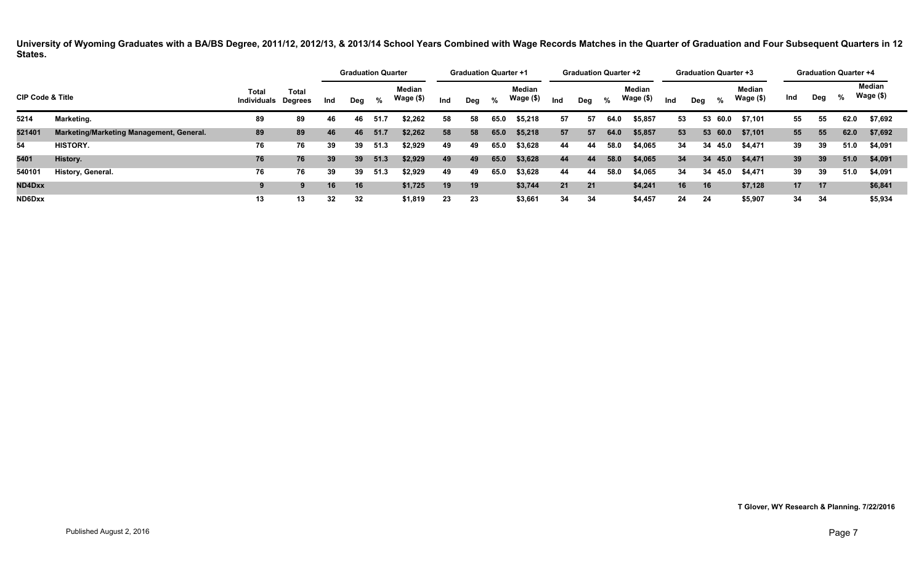|                             |                                          |                                     |              |     | <b>Graduation Quarter</b> |      |                     |     | <b>Graduation Quarter +1</b> |      |                            |     | <b>Graduation Quarter +2</b> |      |                            |     | <b>Graduation Quarter +3</b> |         |                     |     |     | <b>Graduation Quarter +4</b> |                     |
|-----------------------------|------------------------------------------|-------------------------------------|--------------|-----|---------------------------|------|---------------------|-----|------------------------------|------|----------------------------|-----|------------------------------|------|----------------------------|-----|------------------------------|---------|---------------------|-----|-----|------------------------------|---------------------|
| <b>CIP Code &amp; Title</b> |                                          | Total<br><b>Individuals Degrees</b> | <b>Total</b> | Ind | Deg                       | %    | Median<br>Wage (\$) | Ind | Deg                          | %    | <b>Median</b><br>Wage (\$) | Ind | Dea                          | %    | <b>Median</b><br>Wage (\$) | Ind | Dea                          | %       | Median<br>Wage (\$) | Ind | Deg | %                            | Median<br>Wage (\$) |
| 5214                        | Marketing.                               | 89                                  | 89           | 46  | 46                        | 51.7 | \$2,262             | 58  | 58                           | 65.0 | \$5,218                    | 57  | 57                           | 64.0 | \$5,857                    | 53  |                              | 53 60.0 | \$7.101             | 55  | 55  | 62.0                         | \$7,692             |
| 521401                      | Marketing/Marketing Management, General. | 89                                  | 89           | 46  | 46                        | 51.7 | \$2,262             | 58  | 58                           | 65.0 | \$5,218                    | 57  | 57                           | 64.0 | \$5,857                    | 53  |                              | 53 60.0 | \$7,101             | 55  | 55  | 62.0                         | \$7,692             |
| 54                          | <b>HISTORY.</b>                          | 76                                  | 76           | 39  | 39                        | 51.3 | \$2,929             | 49  | 49                           | 65.0 | \$3,628                    | 44  | 44                           | 58.0 | \$4,065                    | 34  |                              | 34 45.0 | \$4,471             | 39  | 39  | 51.0                         | \$4,091             |
| 5401                        | History.                                 | 76                                  | 76           | 39  | 39                        | 51.3 | \$2,929             | 49  | 49                           | 65.0 | \$3,628                    | 44  | 44                           | 58.0 | \$4,065                    | 34  |                              | 34 45.0 | \$4,471             | 39  | 39  | 51.0                         | \$4,091             |
| 540101                      | History, General.                        | 76                                  | 76           | 39  | 39                        | 51.3 | \$2,929             | 49  | 49                           | 65.0 | \$3,628                    | 44  | 44                           | 58.0 | \$4,065                    | 34  |                              | 34 45.0 | \$4,471             | 39  | 39  | 51.0                         | \$4,091             |
| ND4Dxx                      |                                          | 9                                   | 9            | 16  | 16                        |      | \$1,725             | 19  | 19                           |      | \$3,744                    | 21  | 21                           |      | \$4,241                    | 16  | 16                           |         | \$7,128             | 17  | 17  |                              | \$6,841             |
| ND6Dxx                      |                                          | 13                                  | 13           | 32  | 32                        |      | \$1,819             | 23  | 23                           |      | \$3,661                    | 34  | 34                           |      | \$4,457                    | 24  | 24                           |         | \$5,907             | 34  | 34  |                              | \$5,934             |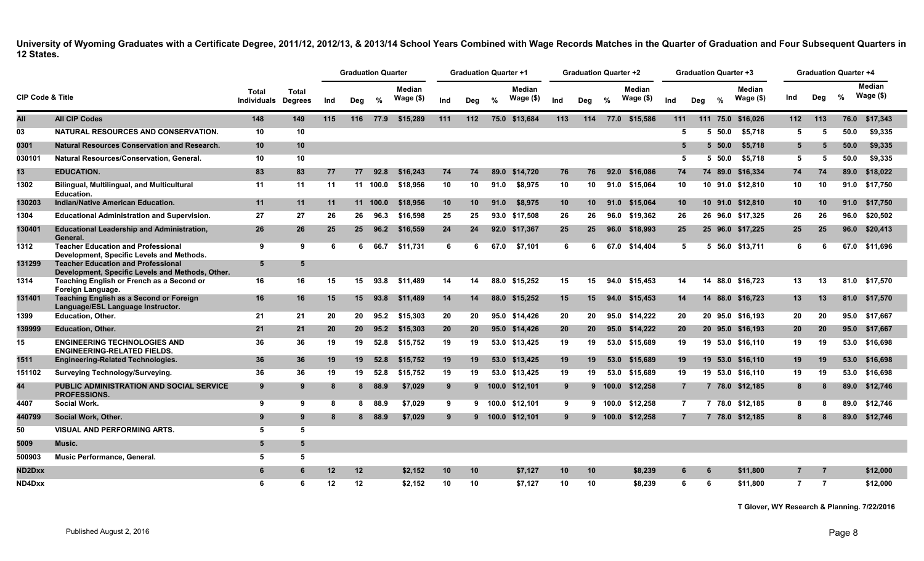|                             |                                                                                               |                             |                                |     |                 | <b>Graduation Quarter</b> |                             |     | <b>Graduation Quarter +1</b> |               |                     |                 | <b>Graduation Quarter +2</b> |         |                             |                 |     | <b>Graduation Quarter +3</b> |                             |                | <b>Graduation Quarter +4</b> |               |                            |
|-----------------------------|-----------------------------------------------------------------------------------------------|-----------------------------|--------------------------------|-----|-----------------|---------------------------|-----------------------------|-----|------------------------------|---------------|---------------------|-----------------|------------------------------|---------|-----------------------------|-----------------|-----|------------------------------|-----------------------------|----------------|------------------------------|---------------|----------------------------|
| <b>CIP Code &amp; Title</b> |                                                                                               | Total<br><b>Individuals</b> | <b>Total</b><br><b>Degrees</b> | Ind | Deg             | %                         | <b>Median</b><br>Wage $($)$ | Ind | Deg                          | $\frac{9}{6}$ | Median<br>Wage (\$) | Ind             | Deg                          | %       | <b>Median</b><br>Wage $($)$ | Ind             | Deg | $\frac{0}{2}$                | <b>Median</b><br>Wage $($)$ | Ind            | Deg                          | $\frac{9}{6}$ | <b>Median</b><br>Wage (\$) |
| All                         | <b>All CIP Codes</b>                                                                          | 148                         | 149                            | 115 |                 | 116 77.9                  | \$15,289                    | 111 | 112                          |               | 75.0 \$13,684       | 113             | 114                          |         | 77.0 \$15,586               | 111             |     |                              | 111 75.0 \$16,026           | 112            | 113                          | 76.0          | \$17,343                   |
| 03                          | <b>NATURAL RESOURCES AND CONSERVATION.</b>                                                    | 10                          | 10                             |     |                 |                           |                             |     |                              |               |                     |                 |                              |         |                             | 5               |     | 50.0<br>5.                   | \$5.718                     | 5              | 5                            | 50.0          | \$9.335                    |
| 0301                        | <b>Natural Resources Conservation and Research.</b>                                           | 10                          | 10 <sup>1</sup>                |     |                 |                           |                             |     |                              |               |                     |                 |                              |         |                             | 5               |     | 5, 50.0                      | \$5,718                     | 5              | 5                            | 50.0          | \$9.335                    |
| 030101                      | Natural Resources/Conservation, General.                                                      | 10                          | 10                             |     |                 |                           |                             |     |                              |               |                     |                 |                              |         |                             | 5               |     | 5 50.0                       | \$5,718                     | 5              | 5                            | 50.0          | \$9.335                    |
| 13                          | <b>EDUCATION.</b>                                                                             | 83                          | 83                             | 77  | 77              | 92.8                      | \$16,243                    | 74  | 74                           | 89.0          | \$14.720            | 76              | 76                           | 92.0    | \$16,086                    | 74              |     |                              | 74 89.0 \$16,334            | 74             | 74                           | 89.0          | \$18,022                   |
| 1302                        | <b>Bilingual, Multilingual, and Multicultural</b><br><b>Education.</b>                        | 11                          | 11                             | 11  |                 | 11 100.0                  | \$18.956                    | 10  | 10                           | 91.0          | \$8.975             | 10              | 10                           |         | 91.0 \$15.064               | 10              |     |                              | 10 91.0 \$12.810            | 10             | 10                           |               | 91.0 \$17.750              |
| 130203                      | Indian/Native American Education.                                                             | 11                          | 11                             | 11  |                 | 11 100.0                  | \$18,956                    | 10  | 10                           | 91.0          | \$8,975             | 10 <sup>1</sup> | 10 <sup>1</sup>              | 91.0    | \$15,064                    | 10 <sup>1</sup> |     |                              | 10 91.0 \$12,810            | 10             | 10                           |               | 91.0 \$17,750              |
| 1304                        | <b>Educational Administration and Supervision.</b>                                            | 27                          | 27                             | 26  | 26              | 96.3                      | \$16,598                    | 25  | 25                           |               | 93.0 \$17,508       | 26              | 26                           | 96.0    | \$19,362                    | 26              |     |                              | 26 96.0 \$17,325            | 26             | 26                           |               | 96.0 \$20,502              |
| 130401                      | <b>Educational Leadership and Administration,</b><br>General.                                 | 26                          | 26                             | 25  | 25 <sub>2</sub> | 96.2                      | \$16,559                    | 24  | 24                           |               | 92.0 \$17,367       | 25              | 25                           | 96.0    | \$18,993                    | 25              |     |                              | 25 96.0 \$17,225            | 25             | 25                           |               | 96.0 \$20,413              |
| 1312                        | <b>Teacher Education and Professional</b><br>Development, Specific Levels and Methods.        | $\overline{9}$              | 9                              | 6   | 6               | 66.7                      | \$11,731                    | 6   | 6                            | 67.0          | \$7,101             | 6               | 6                            | 67.0    | \$14,404                    | 5               |     |                              | 5 56.0 \$13,711             | 6              | 6                            |               | 67.0 \$11,696              |
| 131299                      | <b>Teacher Education and Professional</b><br>Development, Specific Levels and Methods, Other. | 5                           | -5                             |     |                 |                           |                             |     |                              |               |                     |                 |                              |         |                             |                 |     |                              |                             |                |                              |               |                            |
| 1314                        | Teaching English or French as a Second or<br>Foreign Language.                                | 16                          | 16                             | 15  | 15              | 93.8                      | \$11.489                    | 14  | 14                           |               | 88.0 \$15,252       | 15              | 15                           | 94.0    | \$15,453                    | 14              |     |                              | 14 88.0 \$16,723            | 13             | 13                           |               | 81.0 \$17.570              |
| 131401                      | Teaching English as a Second or Foreign<br>Language/ESL Language Instructor.                  | 16                          | 16                             | 15  | 15              | 93.8                      | \$11,489                    | 14  | 14                           |               | 88.0 \$15,252       | 15              | 15                           | 94.0    | \$15,453                    | 14              |     |                              | 14 88.0 \$16,723            | 13             | 13                           |               | 81.0 \$17,570              |
| 1399                        | Education, Other.                                                                             | 21                          | 21                             | 20  | 20              | 95.2                      | \$15,303                    | 20  | 20                           |               | 95.0 \$14,426       | 20              | 20                           | 95.0    | \$14,222                    | 20              |     |                              | 20 95.0 \$16,193            | 20             | 20                           |               | 95.0 \$17,667              |
| 139999                      | <b>Education, Other.</b>                                                                      | 21                          | 21                             | 20  | <b>20</b>       | 95.2                      | \$15,303                    | 20  | 20                           |               | 95.0 \$14,426       | 20 <sub>2</sub> | 20                           |         | 95.0 \$14,222               | 20              |     |                              | 20 95.0 \$16,193            | 20             | 20                           |               | 95.0 \$17,667              |
| 15                          | <b>ENGINEERING TECHNOLOGIES AND</b><br><b>ENGINEERING-RELATED FIELDS.</b>                     | 36                          | 36                             | 19  | 19              | 52.8                      | \$15,752                    | 19  | 19                           |               | 53.0 \$13,425       | 19              | 19                           | 53.0    | \$15,689                    | 19              |     |                              | 19 53.0 \$16,110            | 19             | 19                           |               | 53.0 \$16,698              |
| 1511                        | <b>Engineering-Related Technologies.</b>                                                      | 36                          | 36                             | 19  | 19              | 52.8                      | \$15,752                    | 19  | 19                           |               | 53.0 \$13.425       | 19              | 19                           | 53.0    | \$15,689                    | 19              |     |                              | 19 53.0 \$16.110            | 19             | 19                           |               | 53.0 \$16.698              |
| 151102                      | <b>Surveying Technology/Surveying.</b>                                                        | 36                          | 36                             | 19  | 19              | 52.8                      | \$15,752                    | 19  | 19                           |               | 53.0 \$13,425       | 19              | 19                           | 53.0    | \$15,689                    | 19              |     |                              | 19 53.0 \$16,110            | 19             | 19                           |               | 53.0 \$16,698              |
| 44                          | <b>PUBLIC ADMINISTRATION AND SOCIAL SERVICE</b><br><b>PROFESSIONS.</b>                        | 9                           | 9                              | -8  |                 | 8 88.9                    | \$7,029                     | 9   |                              |               | 9 100.0 \$12,101    | 9               |                              |         | 9 100.0 \$12,258            | $\overline{7}$  |     |                              | 7 78.0 \$12,185             | 8              | 8                            |               | 89.0 \$12,746              |
| 4407                        | Social Work.                                                                                  | 9                           | 9                              | -8  |                 | 8 88.9                    | \$7.029                     | 9   |                              |               | 9 100.0 \$12.101    | 9               |                              | 9 100.0 | \$12.258                    | $\overline{7}$  |     |                              | 7 78.0 \$12.185             | 8              | 8                            | 89.0          | \$12.746                   |
| 440799                      | Social Work, Other.                                                                           | 9                           | 9                              | R   | 8               | 88.9                      | \$7,029                     | 9   |                              |               | 9 100.0 \$12,101    | 9               |                              | 9 100.0 | \$12,258                    | $\overline{7}$  |     |                              | 7 78.0 \$12,185             | 8              |                              |               | 89.0 \$12,746              |
| 50                          | <b>VISUAL AND PERFORMING ARTS.</b>                                                            | -5                          | 5                              |     |                 |                           |                             |     |                              |               |                     |                 |                              |         |                             |                 |     |                              |                             |                |                              |               |                            |
| 5009                        | Music.                                                                                        | 5                           | 5                              |     |                 |                           |                             |     |                              |               |                     |                 |                              |         |                             |                 |     |                              |                             |                |                              |               |                            |
| 500903                      | Music Performance, General.                                                                   | -5                          | 5                              |     |                 |                           |                             |     |                              |               |                     |                 |                              |         |                             |                 |     |                              |                             |                |                              |               |                            |
| ND2Dxx                      |                                                                                               | 6                           | 6                              | 12  | 12 <sup>2</sup> |                           | \$2,152                     | 10  | 10                           |               | \$7.127             | 10              | 10                           |         | \$8,239                     | 6               |     | -6                           | \$11,800                    | $\overline{7}$ |                              |               | \$12,000                   |
| ND4Dxx                      |                                                                                               | 6                           | 6                              | 12  | 12              |                           | \$2.152                     | 10  | 10                           |               | \$7.127             | 10              | 10                           |         | \$8.239                     | 6               |     | 6                            | \$11.800                    | $\overline{7}$ | $\overline{7}$               |               | \$12,000                   |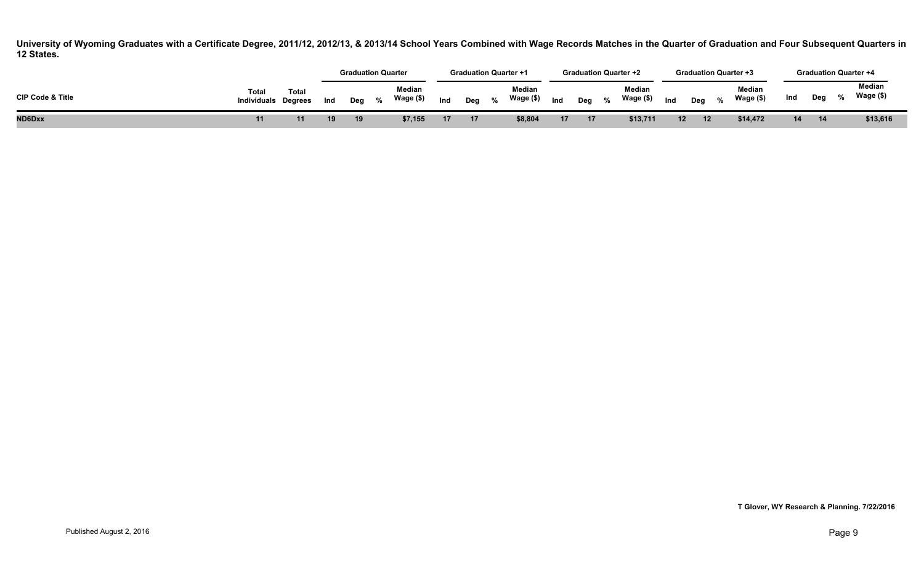|                             |                                     |              |     | <b>Graduation Quarter</b> |      |                     |                 | <b>Graduation Quarter +1</b> |      |                     |     |       | <b>Graduation Quarter +2</b> |                 |     |               | <b>Graduation Quarter +3</b> |     |             | <b>Graduation Quarter +4</b> |
|-----------------------------|-------------------------------------|--------------|-----|---------------------------|------|---------------------|-----------------|------------------------------|------|---------------------|-----|-------|------------------------------|-----------------|-----|---------------|------------------------------|-----|-------------|------------------------------|
| <b>CIP Code &amp; Title</b> | Total<br><b>Individuals Degrees</b> | <b>Total</b> | Ind | Deg                       | $\%$ | Median<br>Wage (\$) | Ind             | Deg                          | $\%$ | Median<br>Wage (\$) | Ind | Deg % | Median<br>Wage (\$)          | Ind             | Dea | $\frac{0}{6}$ | Median<br>Wage (\$)          | Ind | Deg         | Median<br>Wage (\$)          |
| ND6Dxx                      |                                     |              |     | 19                        |      | \$7,155             | 17 <sup>2</sup> | 17                           |      | \$8,804             | 17  | 17    | \$13,711                     | 12 <sup>2</sup> | 12  |               | \$14,472                     | 14  | $\sqrt{14}$ | \$13,616                     |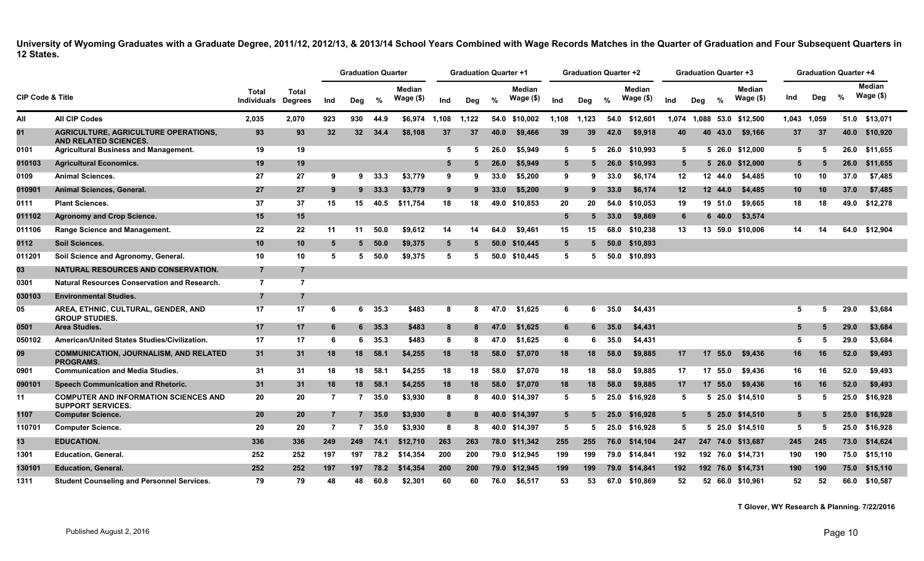|                             |                                                                             |                                    |                                |                | <b>Graduation Quarter</b> |          |                     |       | <b>Graduation Quarter +1</b> |      |                      |       | <b>Graduation Quarter +2</b> |               |                      |       | <b>Graduation Quarter +3</b> |         |                            |             | <b>Graduation Quarter +4</b> |      |                     |
|-----------------------------|-----------------------------------------------------------------------------|------------------------------------|--------------------------------|----------------|---------------------------|----------|---------------------|-------|------------------------------|------|----------------------|-------|------------------------------|---------------|----------------------|-------|------------------------------|---------|----------------------------|-------------|------------------------------|------|---------------------|
| <b>CIP Code &amp; Title</b> |                                                                             | <b>Total</b><br><b>Individuals</b> | <b>Total</b><br><b>Degrees</b> | Ind            | Deg                       | %        | Median<br>Wage (\$) | Ind   | Deg                          | %    | Median<br>Wage $($)$ | Ind   | Deg                          | $\frac{0}{0}$ | Median<br>Wage $($)$ | Ind   | Deg                          | %       | <b>Median</b><br>Wage (\$) | Ind         | Deg                          | %    | Median<br>Wage (\$) |
| All                         | <b>All CIP Codes</b>                                                        | 2,035                              | 2,070                          | 923            | 930                       | 44.9     | \$6.974             | 1,108 | 1,122                        |      | 54.0 \$10,002        | 1,108 | 1,123                        |               | 54.0 \$12,601        | 1,074 |                              |         | 1,088 53.0 \$12,500        | 1,043 1,059 |                              |      | 51.0 \$13,071       |
| 01                          | <b>AGRICULTURE, AGRICULTURE OPERATIONS.</b><br><b>AND RELATED SCIENCES.</b> | 93                                 | 93                             | 32             | 32 <sub>2</sub>           | 34.4     | \$8,108             | 37    | 37                           | 40.0 | \$9,466              | 39    | 39                           | 42.0          | \$9.918              | 40    |                              | 40 43.0 | \$9.166                    | 37          | 37                           | 40.0 | \$10,920            |
| 0101                        | <b>Agricultural Business and Management.</b>                                | 19                                 | 19                             |                |                           |          |                     | 5     | 5                            | 26.0 | \$5,949              | 5     | 5                            | 26.0          | \$10.993             | 5     |                              |         | 5 26.0 \$12.000            | 5           | 5                            | 26.0 | \$11,655            |
| 010103                      | <b>Agricultural Economics.</b>                                              | 19                                 | 19                             |                |                           |          |                     | 5     | 5.                           | 26.0 | \$5,949              | 5     |                              | 26.0          | \$10,993             | 5     |                              |         | 5 26.0 \$12,000            | 5           |                              | 26.0 | \$11,655            |
| 0109                        | <b>Animal Sciences.</b>                                                     | 27                                 | 27                             | 9              |                           | $9$ 33.3 | \$3.779             | 9     | 9                            | 33.0 | \$5,200              | 9     | 9                            | 33.0          | \$6,174              | 12    |                              | 12 44.0 | \$4,485                    | 10          | 10                           | 37.0 | \$7,485             |
| 010901                      | <b>Animal Sciences, General.</b>                                            | 27                                 | 27                             | 9              | 9                         | 33.3     | \$3,779             | 9     | 9                            | 33.0 | \$5,200              | 9     | 9                            | 33.0          | \$6,174              | 12    |                              | 12 44.0 | \$4,485                    | 10          | 10                           | 37.0 | \$7,485             |
| 0111                        | <b>Plant Sciences.</b>                                                      | 37                                 | 37                             | 15             | 15                        | 40.5     | \$11,754            | 18    | 18                           | 49.0 | \$10,853             | 20    | 20                           | 54.0          | \$10,053             | 19    |                              | 19 51.0 | \$9,665                    | 18          | 18                           | 49.0 | \$12,278            |
| 011102                      | <b>Agronomy and Crop Science.</b>                                           | 15                                 | 15                             |                |                           |          |                     |       |                              |      |                      | 5     | 5                            | 33.0          | \$9,869              | 6     |                              | 640.0   | \$3,574                    |             |                              |      |                     |
| 011106                      | Range Science and Management.                                               | 22                                 | 22                             | 11             | 11                        | 50.0     | \$9.612             | 14    | 14                           | 64.0 | \$9.461              | 15    | 15                           | 68.0          | \$10,238             | 13    |                              |         | 13 59.0 \$10,006           | 14          | 14                           | 64.0 | \$12,904            |
| 0112                        | Soil Sciences.                                                              | 10                                 | 10                             | 5              | 5.                        | - 50.0   | \$9,375             | 5     | 5                            | 50.0 | \$10,445             | 5     |                              | 50.0          | \$10,893             |       |                              |         |                            |             |                              |      |                     |
| 011201                      | Soil Science and Agronomy, General.                                         | 10                                 | 10                             | 5              | 5.                        | 50.0     | \$9.375             | 5     | 5                            | 50.0 | \$10.445             | 5     | 5                            | 50.0          | \$10.893             |       |                              |         |                            |             |                              |      |                     |
| 03                          | <b>NATURAL RESOURCES AND CONSERVATION.</b>                                  | $\overline{7}$                     |                                |                |                           |          |                     |       |                              |      |                      |       |                              |               |                      |       |                              |         |                            |             |                              |      |                     |
| 0301                        | <b>Natural Resources Conservation and Research.</b>                         | $\overline{7}$                     | $\overline{7}$                 |                |                           |          |                     |       |                              |      |                      |       |                              |               |                      |       |                              |         |                            |             |                              |      |                     |
| 030103                      | <b>Environmental Studies.</b>                                               | $\overline{7}$                     |                                |                |                           |          |                     |       |                              |      |                      |       |                              |               |                      |       |                              |         |                            |             |                              |      |                     |
| 05                          | AREA, ETHNIC, CULTURAL, GENDER, AND<br><b>GROUP STUDIES.</b>                | 17                                 | 17                             | -6             | 6                         | 35.3     | \$483               | 8     | 8                            | 47.0 | \$1.625              | 6     | 6                            | 35.0          | \$4,431              |       |                              |         |                            | 5           | 5                            | 29.0 | \$3,684             |
| 0501                        | <b>Area Studies.</b>                                                        | 17                                 | 17                             | 6              |                           | 6 35.3   | \$483               | 8     | 8                            | 47.0 | \$1.625              | 6     |                              | 35.0          | \$4,431              |       |                              |         |                            | 5           | 5                            | 29.0 | \$3,684             |
| 050102                      | American/United States Studies/Civilization.                                | 17                                 | 17                             | 6              | 6                         | 35.3     | \$483               | 8     | 8                            | 47.0 | \$1,625              | 6     | 6                            | 35.0          | \$4,431              |       |                              |         |                            | 5           | 5                            | 29.0 | \$3,684             |
| 09                          | <b>COMMUNICATION, JOURNALISM, AND RELATED</b><br><b>PROGRAMS.</b>           | 31                                 | 31                             | 18             | 18                        | 58.1     | \$4,255             | 18    | 18                           | 58.0 | \$7,070              | 18    | 18                           | 58.0          | \$9,885              | 17    |                              | 17 55.0 | \$9,436                    | 16          | 16                           | 52.0 | \$9,493             |
| 0901                        | <b>Communication and Media Studies.</b>                                     | 31                                 | 31                             | 18             | 18                        | 58.1     | \$4.255             | 18    | 18                           | 58.0 | \$7,070              | 18    | 18                           | 58.0          | \$9,885              | -17   |                              | 17 55.0 | \$9,436                    | 16          | 16                           | 52.0 | \$9,493             |
| 090101                      | Speech Communication and Rhetoric.                                          | 31                                 | 31                             | 18             | 18                        | 58.1     | \$4,255             | 18    | 18                           | 58.0 | \$7,070              | 18    | 18                           | 58.0          | \$9,885              | 17    |                              | 17 55.0 | \$9,436                    | 16          | 16                           | 52.0 | \$9,493             |
| 11                          | <b>COMPUTER AND INFORMATION SCIENCES AND</b><br><b>SUPPORT SERVICES.</b>    | 20                                 | 20                             | $\overline{7}$ | 7                         | 35.0     | \$3,930             | 8     | 8                            | 40.0 | \$14,397             | 5     | 5                            | 25.0          | \$16,928             | -5    |                              |         | 5 25.0 \$14,510            | 5           | 5                            | 25.0 | \$16,928            |
| 1107                        | <b>Computer Science.</b>                                                    | 20                                 | 20                             | $\overline{7}$ |                           | 35.0     | \$3,930             | 8     |                              | 40.0 | \$14,397             | 5     |                              | 25.0          | \$16,928             | 5     |                              |         | 5 25.0 \$14,510            | 5           | Б                            | 25.0 | \$16,928            |
| 110701                      | <b>Computer Science.</b>                                                    | 20                                 | 20                             | -7             | 7                         | 35.0     | \$3,930             | 8     | 8                            |      | 40.0 \$14,397        | 5     | 5.                           |               | 25.0 \$16,928        | 5     |                              |         | 5 25.0 \$14,510            | 5           | 5                            |      | 25.0 \$16,928       |
| 13                          | <b>EDUCATION.</b>                                                           | 336                                | 336                            | 249            | 249                       | 74.1     | \$12,710            | 263   | 263                          |      | 78.0 \$11,342        | 255   | 255                          |               | 76.0 \$14,104        | 247   |                              |         | 247 74.0 \$13,687          | 245         | 245                          | 73.0 | \$14,624            |
| 1301                        | <b>Education, General.</b>                                                  | 252                                | 252                            | 197            | 197                       | 78.2     | \$14,354            | 200   | 200                          |      | 79.0 \$12,945        | 199   | 199                          |               | 79.0 \$14,841        | 192   |                              |         | 192 76.0 \$14,731          | 190         | 190                          | 75.0 | \$15,110            |
| 130101                      | <b>Education, General.</b>                                                  | 252                                | 252                            | 197            | 197                       | 78.2     | \$14,354            | 200   | 200                          | 79.0 | \$12,945             | 199   | 199                          | 79.0          | \$14,841             | 192   |                              |         | 192 76.0 \$14,731          | 190         | 190                          | 75.0 | \$15,110            |
| 1311                        | <b>Student Counseling and Personnel Services.</b>                           | 79                                 | 79                             | 48             | 48                        | 60.8     | \$2,301             | 60    | 60                           | 76.0 | \$6.517              | 53    | 53                           | 67.0          | \$10,869             | 52    |                              |         | 52 66.0 \$10.961           | 52          | 52                           | 66.0 | \$10.587            |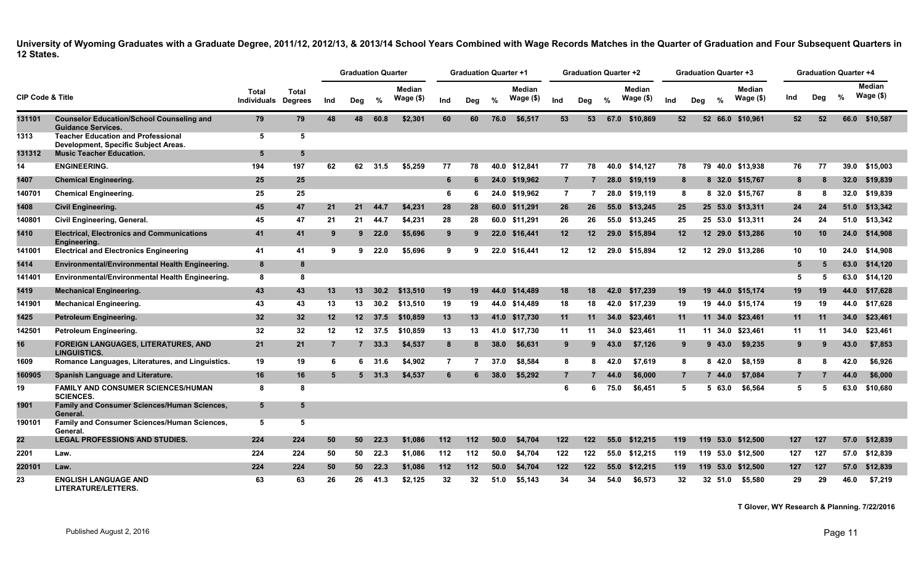|                             |                                                                                   |                                            |                |     | <b>Graduation Quarter</b> |               |                            |                | <b>Graduation Quarter +1</b> |               |                            |                | <b>Graduation Quarter +2</b> |               |                             |         |                |            | <b>Graduation Quarter +3</b> |                | <b>Graduation Quarter +4</b> |               |                            |
|-----------------------------|-----------------------------------------------------------------------------------|--------------------------------------------|----------------|-----|---------------------------|---------------|----------------------------|----------------|------------------------------|---------------|----------------------------|----------------|------------------------------|---------------|-----------------------------|---------|----------------|------------|------------------------------|----------------|------------------------------|---------------|----------------------------|
| <b>CIP Code &amp; Title</b> |                                                                                   | <b>Total</b><br><b>Individuals Degrees</b> | <b>Total</b>   | Ind | Deg                       | %             | <b>Median</b><br>Wage (\$) | Ind            | Deg                          | $\frac{0}{0}$ | <b>Median</b><br>Wage (\$) | Ind            | Deg                          | $\frac{0}{0}$ | <b>Median</b><br>Wage $($)$ | Ind     | Deg            | %          | <b>Median</b><br>Wage (\$)   | Ind            | Dea                          | $\frac{9}{6}$ | <b>Median</b><br>Wage (\$) |
| 131101                      | <b>Counselor Education/School Counseling and</b><br><b>Guidance Services.</b>     | 79                                         | 79             | 48  | 48                        | 60.8          | \$2,301                    | 60             | 60                           | 76.0          | \$6.517                    | 53             | 53                           | 67.0          | \$10.869                    | 52      |                |            | 52 66.0 \$10.961             | 52             | 52                           |               | 66.0 \$10.587              |
| 1313                        | <b>Teacher Education and Professional</b><br>Development, Specific Subject Areas. | 5                                          | 5              |     |                           |               |                            |                |                              |               |                            |                |                              |               |                             |         |                |            |                              |                |                              |               |                            |
| 131312                      | <b>Music Teacher Education.</b>                                                   | -5                                         | 5              |     |                           |               |                            |                |                              |               |                            |                |                              |               |                             |         |                |            |                              |                |                              |               |                            |
| 14                          | <b>ENGINEERING.</b>                                                               | 194                                        | 197            | 62  | 62                        | 31.5          | \$5.259                    | 77             | 78                           |               | 40.0 \$12.841              | 77             | 78                           | 40.0          | \$14.127                    | 78      |                |            | 79 40.0 \$13.938             | 76             | 77                           | 39.0          | \$15,003                   |
| 1407                        | <b>Chemical Engineering.</b>                                                      | 25                                         | 25             |     |                           |               |                            | 6              | 6                            | 24.0          | \$19,962                   | $\overline{7}$ |                              | 28.0          | \$19,119                    |         | 8              |            | 8 32.0 \$15,767              | 8              |                              | 32.0          | \$19,839                   |
| 140701                      | <b>Chemical Engineering.</b>                                                      | 25                                         | 25             |     |                           |               |                            | 6              | 6                            |               | 24.0 \$19,962              | $\overline{7}$ |                              | 28.0          | \$19,119                    |         | 8              |            | 8 32.0 \$15,767              | 8              |                              | 32.0          | \$19,839                   |
| 1408                        | <b>Civil Engineering.</b>                                                         | 45                                         | 47             | 21  | 21                        | 44.7          | \$4,231                    | 28             | 28                           |               | 60.0 \$11,291              | 26             | 26                           | 55.0          | \$13,245                    | 25      |                |            | 25 53.0 \$13,311             | 24             | 24                           | 51.0          | \$13,342                   |
| 140801                      | <b>Civil Engineering, General.</b>                                                | 45                                         | 47             | 21  | 21                        | 44.7          | \$4,231                    | 28             | 28                           |               | 60.0 \$11.291              | 26             | 26                           |               | 55.0 \$13,245               | 25      |                |            | 25 53.0 \$13.311             | 24             | 24                           |               | 51.0 \$13,342              |
| 1410                        | <b>Electrical, Electronics and Communications</b><br>Engineering.                 | 41                                         | 41             | -9  |                           | $9$ 22.0      | \$5,696                    | 9              | 9                            |               | 22.0 \$16,441              | 12             | 12 <sup>12</sup>             | 29.0          | \$15.894                    | $12 \,$ |                |            | 12 29.0 \$13.286             | 10             | <b>10</b>                    |               | 24.0 \$14.908              |
| 141001                      | <b>Electrical and Electronics Engineering</b>                                     | 41                                         | 41             | -9  | 9                         | 22.0          | \$5,696                    | 9              | 9                            |               | 22.0 \$16,441              | 12             | 12 <sup>12</sup>             | 29.0          | \$15,894                    | 12      |                |            | 12 29.0 \$13,286             | 10             | 10                           |               | 24.0 \$14,908              |
| 1414                        | Environmental/Environmental Health Engineering.                                   | 8                                          | 8              |     |                           |               |                            |                |                              |               |                            |                |                              |               |                             |         |                |            |                              | 5              | 5                            | 63.0          | \$14,120                   |
| 141401                      | Environmental/Environmental Health Engineering.                                   | 8                                          | 8              |     |                           |               |                            |                |                              |               |                            |                |                              |               |                             |         |                |            |                              | -5             | 5                            |               | 63.0 \$14,120              |
| 1419                        | <b>Mechanical Engineering.</b>                                                    | 43                                         | 43             | 13  | 13 <sup>7</sup>           | 30.2          | \$13.510                   | 19             | 19                           | 44.0          | \$14,489                   | 18             | 18                           | 42.0          | \$17.239                    | 19      |                |            | 19 44.0 \$15.174             | 19             | 19                           |               | 44.0 \$17,628              |
| 141901                      | <b>Mechanical Engineering.</b>                                                    | 43                                         | 43             | 13  | 13                        | 30.2          | \$13,510                   | 19             | 19                           |               | 44.0 \$14,489              | 18             | 18                           | 42.0          | \$17.239                    | 19      |                |            | 19 44.0 \$15.174             | 19             | 19                           | 44.0          | \$17.628                   |
| 1425                        | Petroleum Engineering.                                                            | 32                                         | 32             | 12  |                           | 12 37.5       | \$10,859                   | 13             | 13                           |               | 41.0 \$17,730              | 11             | 11                           | 34.0          | \$23,461                    | 11      |                |            | 11 34.0 \$23,461             | 11             | 11                           | 34.0          | \$23,461                   |
| 142501                      | Petroleum Engineering.                                                            | 32                                         | 32             | 12  | 12                        | 37.5          | \$10,859                   | 13             | 13                           |               | 41.0 \$17,730              | 11             | 11                           | 34.0          | \$23,461                    | 11      |                | 11 34.0    | \$23,461                     | 11             | 11                           | 34.0          | \$23,461                   |
| 16                          | FOREIGN LANGUAGES, LITERATURES, AND<br><b>LINGUISTICS.</b>                        | 21                                         | 21             | -7  | $7^{\circ}$               | 33.3          | \$4,537                    | 8              | 8                            | 38.0          | \$6,631                    | 9              | 9                            | 43.0          | \$7,126                     |         | 9              | 9,43.0     | \$9,235                      | 9              | 9                            | 43.0          | \$7,853                    |
| 1609                        | Romance Languages, Literatures, and Linguistics.                                  | 19                                         | 19             | - 6 |                           | 6 31.6        | \$4,902                    | $\overline{7}$ | 7                            | 37.0          | \$8.584                    | 8              | 8                            | 42.0          | \$7.619                     |         | 8              | 842.0      | \$8.159                      | 8              | 8                            | 42.0          | \$6.926                    |
| 160905                      | Spanish Language and Literature.                                                  | 16                                         | 16             | 5   |                           | $5\quad 31.3$ | \$4,537                    | 6              | 6                            | 38.0          | \$5,292                    | $\overline{7}$ |                              | 44.0          | \$6,000                     |         | $\overline{7}$ | 44.0       | \$7,084                      | $\overline{7}$ |                              | 44.0          | \$6,000                    |
| 19                          | <b>FAMILY AND CONSUMER SCIENCES/HUMAN</b><br><b>SCIENCES.</b>                     | 8                                          | 8              |     |                           |               |                            |                |                              |               |                            | 6              | 6                            | 75.0          | \$6,451                     |         | 5              | 63.0<br>5. | \$6,564                      | 5              | 5                            | 63.0          | \$10,680                   |
| 1901                        | Family and Consumer Sciences/Human Sciences,<br>General.                          | $5\phantom{1}$                             | 5 <sup>5</sup> |     |                           |               |                            |                |                              |               |                            |                |                              |               |                             |         |                |            |                              |                |                              |               |                            |
| 190101                      | Family and Consumer Sciences/Human Sciences,<br>General.                          | 5                                          | 5              |     |                           |               |                            |                |                              |               |                            |                |                              |               |                             |         |                |            |                              |                |                              |               |                            |
| 22                          | <b>LEGAL PROFESSIONS AND STUDIES.</b>                                             | 224                                        | 224            | 50  | 50                        | 22.3          | \$1,086                    | 112            | 112                          | 50.0          | \$4.704                    | 122            | 122                          | 55.0          | \$12.215                    | 119     |                | 119        | 53.0 \$12.500                | 127            | 127                          | 57.0          | \$12,839                   |
| 2201                        | Law.                                                                              | 224                                        | 224            | 50  | 50                        | 22.3          | \$1.086                    | 112            | 112                          | 50.0          | \$4,704                    | 122            | 122                          | 55.0          | \$12,215                    | 119     |                |            | 119 53.0 \$12,500            | 127            | 127                          |               | 57.0 \$12,839              |
| 220101                      | Law.                                                                              | 224                                        | 224            | 50  | 50                        | 22.3          | \$1,086                    | 112            | 112                          | 50.0          | \$4,704                    | 122            | 122                          | 55.0          | \$12,215                    | 119     |                |            | 119 53.0 \$12,500            | 127            | 127                          | 57.0          | \$12,839                   |
| 23                          | <b>ENGLISH LANGUAGE AND</b><br><b>LITERATURE/LETTERS.</b>                         | 63                                         | 63             | 26  | 26                        | 41.3          | \$2,125                    | 32             | 32                           | 51.0          | \$5,143                    | 34             | 34                           | 54.0          | \$6,573                     | 32      |                | 32 51.0    | \$5,580                      | 29             | 29                           | 46.0          | \$7,219                    |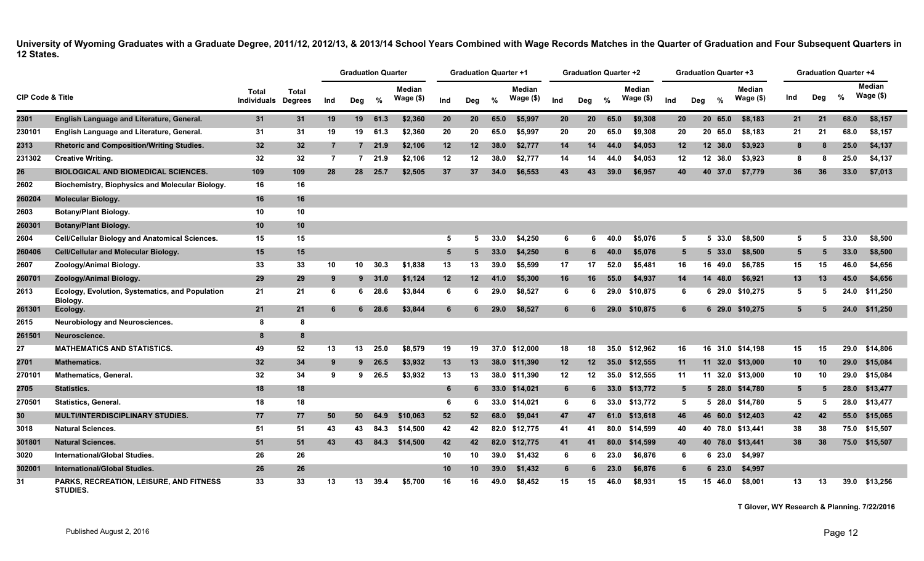|                             |                                                                   |                             |                                |                | <b>Graduation Quarter</b> |               |                            |                 | <b>Graduation Quarter +1</b> |      |                            |                 | Graduation Quarter +2 |               |                     |                 | Graduation Quarter +3 |               |                            |     | <b>Graduation Quarter +4</b> |      |                            |
|-----------------------------|-------------------------------------------------------------------|-----------------------------|--------------------------------|----------------|---------------------------|---------------|----------------------------|-----------------|------------------------------|------|----------------------------|-----------------|-----------------------|---------------|---------------------|-----------------|-----------------------|---------------|----------------------------|-----|------------------------------|------|----------------------------|
| <b>CIP Code &amp; Title</b> |                                                                   | <b>Total</b><br>Individuals | <b>Total</b><br><b>Degrees</b> | Ind            | Deg                       | $\%$          | <b>Median</b><br>Wage (\$) | Ind             | Deg                          | $\%$ | <b>Median</b><br>Wage (\$) | Ind             | Deg                   | $\%$          | Median<br>Wage (\$) | Ind             | Deg                   | $\frac{9}{6}$ | <b>Median</b><br>Wage (\$) | Ind | Deg                          | %    | <b>Median</b><br>Wage (\$) |
| 2301                        | English Language and Literature, General.                         | 31                          | 31                             | 19             | 19                        | 61.3          | \$2,360                    | 20              | 20                           | 65.0 | \$5,997                    | 20              | 20                    | 65.0          | \$9,308             | 20              |                       | 20 65.0       | \$8,183                    | 21  | 21                           | 68.0 | \$8,157                    |
| 230101                      | English Language and Literature, General.                         | 31                          | 31                             | 19             | 19                        | 61.3          | \$2,360                    | 20              | 20                           | 65.0 | \$5.997                    | 20              | 20                    | 65.0          | \$9.308             | 20              |                       | 20 65.0       | \$8,183                    | 21  | 21                           | 68.0 | \$8,157                    |
| 2313                        | <b>Rhetoric and Composition/Writing Studies.</b>                  | 32                          | 32 <sub>2</sub>                | $\overline{7}$ |                           | 721.9         | \$2,106                    | 12              | 12                           | 38.0 | \$2.777                    | 14              | 14                    | 44.0          | \$4.053             | 12 <sub>2</sub> |                       | 12 38.0       | \$3,923                    | 8   | 8                            | 25.0 | \$4,137                    |
| 231302                      | <b>Creative Writing.</b>                                          | 32                          | 32                             | $\overline{7}$ | $\overline{7}$            | 21.9          | \$2,106                    | 12              | 12                           | 38.0 | \$2,777                    | 14              | 14                    | 44.0          | \$4,053             | 12              |                       | 12 38.0       | \$3,923                    | 8   | 8                            | 25.0 | \$4,137                    |
| 26                          | <b>BIOLOGICAL AND BIOMEDICAL SCIENCES.</b>                        | 109                         | 109                            | 28             | 28                        | 25.7          | \$2,505                    | 37              | 37                           | 34.0 | \$6,553                    | 43              | 43                    | 39.0          | \$6,957             | 40              |                       | 40 37.0       | \$7,779                    | 36  | 36                           | 33.0 | \$7,013                    |
| 2602                        | Biochemistry, Biophysics and Molecular Biology.                   | 16                          | 16                             |                |                           |               |                            |                 |                              |      |                            |                 |                       |               |                     |                 |                       |               |                            |     |                              |      |                            |
| 260204                      | <b>Molecular Biology.</b>                                         | 16                          | 16                             |                |                           |               |                            |                 |                              |      |                            |                 |                       |               |                     |                 |                       |               |                            |     |                              |      |                            |
| 2603                        | <b>Botany/Plant Biology.</b>                                      | 10                          | 10                             |                |                           |               |                            |                 |                              |      |                            |                 |                       |               |                     |                 |                       |               |                            |     |                              |      |                            |
| 260301                      | <b>Botany/Plant Biology.</b>                                      | 10                          | 10                             |                |                           |               |                            |                 |                              |      |                            |                 |                       |               |                     |                 |                       |               |                            |     |                              |      |                            |
| 2604                        | <b>Cell/Cellular Biology and Anatomical Sciences.</b>             | 15                          | 15                             |                |                           |               |                            | 5               | 5                            | 33.0 | \$4,250                    | 6               | 6                     | 40.0          | \$5,076             | 5               | 5                     | 33.0          | \$8,500                    | 5   | 5                            | 33.0 | \$8,500                    |
| 260406                      | <b>Cell/Cellular and Molecular Biology.</b>                       | 15                          | 15                             |                |                           |               |                            | $5\overline{5}$ |                              | 33.0 | \$4,250                    | 6               | 6                     | 40.0          | \$5,076             | $5\overline{)}$ |                       | 5, 33.0       | \$8,500                    | 5   | 5                            | 33.0 | \$8,500                    |
| 2607                        | Zoology/Animal Biology.                                           | 33                          | 33                             | 10             | 10                        | 30.3          | \$1,838                    | 13              | 13                           | 39.0 | \$5,599                    | 17              | 17                    | 52.0          | \$5.481             | 16              |                       | 16 49.0       | \$6.785                    | 15  | 15                           | 46.0 | \$4.656                    |
| 260701                      | Zoology/Animal Biology.                                           | 29                          | 29                             | 9              |                           | 9, 31.0       | \$1,124                    | 12              | 12                           | 41.0 | \$5,300                    | 16              | 16                    | 55.0          | \$4,937             | 14              | 14                    | 48.0          | \$6,921                    | 13  | 13                           | 45.0 | \$4,656                    |
| 2613                        | Ecology, Evolution, Systematics, and Population<br>Biology.       | 21                          | 21                             | 6              |                           | $6\quad 28.6$ | \$3,844                    | 6               | 6                            | 29.0 | \$8,527                    | 6               | 6                     | 29.0          | \$10,875            | 6               |                       |               | 6 29.0 \$10,275            | 5   | 5                            | 24.0 | \$11,250                   |
| 261301                      | Ecology.                                                          | 21                          | 21                             |                |                           | $6$ 28.6      | \$3,844                    | 6               |                              | 29.0 | \$8,527                    | 6               |                       | $6\quad 29.0$ | \$10,875            | 6               |                       |               | 6 29.0 \$10,275            | 5.  |                              |      | 24.0 \$11,250              |
| 2615                        | <b>Neurobiology and Neurosciences.</b>                            | 8                           | 8                              |                |                           |               |                            |                 |                              |      |                            |                 |                       |               |                     |                 |                       |               |                            |     |                              |      |                            |
| 261501                      | Neuroscience.                                                     | -8                          | 8                              |                |                           |               |                            |                 |                              |      |                            |                 |                       |               |                     |                 |                       |               |                            |     |                              |      |                            |
| 27                          | <b>MATHEMATICS AND STATISTICS.</b>                                | 49                          | 52                             | 13             | 13                        | 25.0          | \$8.579                    | 19              | 19                           |      | 37.0 \$12,000              | 18              | 18                    | 35.0          | \$12.962            | 16              |                       |               | 16 31.0 \$14.198           | 15  | 15                           |      | 29.0 \$14,806              |
| 2701                        | <b>Mathematics.</b>                                               | 32                          | 34                             | 9              |                           | $9$ 26.5      | \$3,932                    | 13              | 13                           |      | 38.0 \$11,390              | 12 <sub>2</sub> | 12 <sub>2</sub>       | 35.0          | \$12,555            | 11              |                       |               | 11 32.0 \$13,000           | 10  | 10                           |      | 29.0 \$15,084              |
| 27010٬                      | <b>Mathematics, General.</b>                                      | 32                          | 34                             | 9              | 9                         | 26.5          | \$3,932                    | 13              | 13                           |      | 38.0 \$11,390              | 12              | 12                    | 35.0          | \$12,555            | 11              |                       |               | 11 32.0 \$13,000           | 10  | 10                           |      | 29.0 \$15,084              |
| 2705                        | <b>Statistics.</b>                                                | 18                          | 18                             |                |                           |               |                            | 6               |                              |      | 33.0 \$14,021              | 6               | 6                     |               | 33.0 \$13,772       | 5               |                       |               | 5 28.0 \$14,780            | 5   | 5                            |      | 28.0 \$13,477              |
| 270501                      | <b>Statistics, General.</b>                                       | 18                          | 18                             |                |                           |               |                            | 6               | 6                            |      | 33.0 \$14,021              | 6               | 6                     | 33.0          | \$13,772            | 5               |                       |               | 5 28.0 \$14,780            | 5   | 5                            |      | 28.0 \$13,477              |
| 30                          | <b>MULTI/INTERDISCIPLINARY STUDIES.</b>                           | 77                          | 77                             | 50             | 50                        | 64.9          | \$10,063                   | 52              | 52                           | 68.0 | \$9,041                    | 47              | 47                    | 61.0          | \$13.618            | 46              |                       |               | 46 60.0 \$12,403           | 42  | 42                           |      | 55.0 \$15,065              |
| 3018                        | <b>Natural Sciences.</b>                                          | 51                          | 51                             | 43             | 43                        | 84.3          | \$14,500                   | 42              | 42                           |      | 82.0 \$12,775              | 41              | 41                    | 80.0          | \$14,599            | 40              |                       |               | 40 78.0 \$13,441           | 38  | 38                           |      | 75.0 \$15,507              |
| 301801                      | <b>Natural Sciences.</b>                                          | 51                          | 51                             | 43             | 43                        | 84.3          | \$14,500                   | 42              | 42                           |      | 82.0 \$12,775              | 41              | 41                    | 80.0          | \$14,599            | 40              |                       | 40 78.0       | \$13,441                   | 38  | 38                           |      | 75.0 \$15,507              |
| 3020                        | International/Global Studies.                                     | 26                          | 26                             |                |                           |               |                            | 10              | 10                           | 39.0 | \$1,432                    | 6               | 6                     | 23.0          | \$6,876             | 6               | 6                     | 23.0          | \$4,997                    |     |                              |      |                            |
| 302001                      | <b>International/Global Studies.</b>                              | 26                          | 26                             |                |                           |               |                            | 10              | 10                           | 39.0 | \$1,432                    | 6               | 6                     | 23.0          | \$6,876             | 6               |                       | 623.0         | \$4,997                    |     |                              |      |                            |
| 31                          | <b>PARKS, RECREATION, LEISURE, AND FITNESS</b><br><b>STUDIES.</b> | 33                          | 33                             | 13             | 13                        | 39.4          | \$5,700                    | 16              | 16                           | 49.0 | \$8,452                    | 15              | 15                    | 46.0          | \$8,931             | 15              |                       | 15 46.0       | \$8,001                    | 13  | 13                           |      | 39.0 \$13,256              |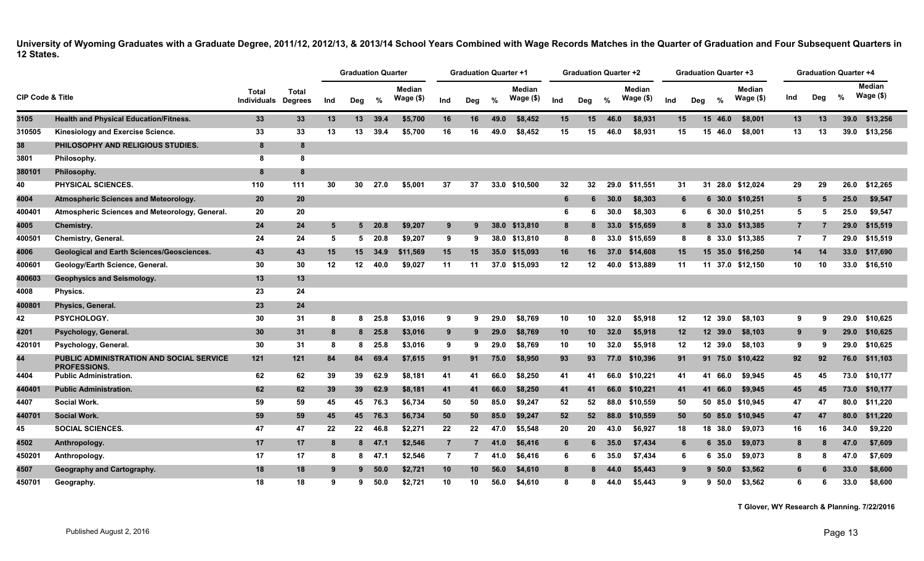|                             |                                                                 |                             |                                |     | <b>Graduation Quarter</b> |         |                            |                | <b>Graduation Quarter +1</b> |      |                            |                 | <b>Graduation Quarter +2</b> |      |                            |                | <b>Graduation Quarter +3</b> |                            |                | <b>Graduation Quarter +4</b> |      |                            |
|-----------------------------|-----------------------------------------------------------------|-----------------------------|--------------------------------|-----|---------------------------|---------|----------------------------|----------------|------------------------------|------|----------------------------|-----------------|------------------------------|------|----------------------------|----------------|------------------------------|----------------------------|----------------|------------------------------|------|----------------------------|
| <b>CIP Code &amp; Title</b> |                                                                 | Total<br><b>Individuals</b> | <b>Total</b><br><b>Degrees</b> | Ind | Deg                       | %       | <b>Median</b><br>Wage (\$) | Ind            | Deg                          | %    | <b>Median</b><br>Wage (\$) | Ind             | Deg                          | %    | <b>Median</b><br>Wage (\$) | Ind            | $\frac{9}{6}$<br>Dea         | <b>Median</b><br>Wage (\$) | Ind            | Deg                          | $\%$ | <b>Median</b><br>Wage (\$) |
| 3105                        | <b>Health and Physical Education/Fitness.</b>                   | 33                          | 33                             | 13  | 13                        | 39.4    | \$5,700                    | 16             | 16                           | 49.0 | \$8,452                    | 15              | 15                           | 46.0 | \$8,931                    | 15             | 15                           | \$8,001<br>46.0            | 13             | 13                           | 39.0 | \$13,256                   |
| 310505                      | Kinesiology and Exercise Science.                               | 33                          | 33                             | 13  | 13                        | 39.4    | \$5,700                    | 16             | 16                           | 49.0 | \$8,452                    | 15              | 15                           | 46.0 | \$8,931                    | 15             | 15 46.0                      | \$8.001                    | 13             | 13                           | 39.0 | \$13,256                   |
| 38                          | PHILOSOPHY AND RELIGIOUS STUDIES.                               | 8                           | 8                              |     |                           |         |                            |                |                              |      |                            |                 |                              |      |                            |                |                              |                            |                |                              |      |                            |
| 3801                        | Philosophy.                                                     | -8                          | 8                              |     |                           |         |                            |                |                              |      |                            |                 |                              |      |                            |                |                              |                            |                |                              |      |                            |
| 380101                      | Philosophy.                                                     | 8                           | 8                              |     |                           |         |                            |                |                              |      |                            |                 |                              |      |                            |                |                              |                            |                |                              |      |                            |
| 40                          | PHYSICAL SCIENCES.                                              | 110                         | 111                            | 30  | 30                        | 27.0    | \$5,001                    | 37             | 37                           |      | 33.0 \$10,500              | 32              | 32                           | 29.0 | \$11.551                   | 31             | 31                           | 28.0 \$12.024              | 29             | 29                           | 26.0 | \$12,265                   |
| 4004                        | Atmospheric Sciences and Meteorology.                           | 20                          | 20                             |     |                           |         |                            |                |                              |      |                            | 6               | 6                            | 30.0 | \$8,303                    | 6              |                              | 6 30.0 \$10,251            | 5              | 5                            | 25.0 | \$9,547                    |
| 400401                      | Atmospheric Sciences and Meteorology, General.                  | 20                          | 20                             |     |                           |         |                            |                |                              |      |                            | 6               | 6                            | 30.0 | \$8,303                    | 6              |                              | 6 30.0 \$10,251            | 5              | 5                            | 25.0 | \$9,547                    |
| 4005                        | <b>Chemistry.</b>                                               | 24                          | 24                             | 5   | 5                         | 20.8    | \$9,207                    | 9              | 9                            |      | 38.0 \$13,810              | 8               | 8                            | 33.0 | \$15,659                   | 8              |                              | 8 33.0 \$13,385            | $7^{\circ}$    |                              | 29.0 | \$15,519                   |
| 400501                      | Chemistry, General.                                             | 24                          | 24                             | 5   | 5                         | 20.8    | \$9,207                    | 9              | -9                           |      | 38.0 \$13,810              | 8               | 8                            |      | 33.0 \$15,659              | 8              |                              | 8 33.0 \$13,385            | $\overline{7}$ | -7                           | 29.0 | \$15.519                   |
| 4006                        | <b>Geological and Earth Sciences/Geosciences.</b>               | 43                          | 43                             | 15  | 15 <sup>1</sup>           | 34.9    | \$11,569                   | 15             | 15                           |      | 35.0 \$15,093              | 16              | 16                           | 37.0 | \$14,608                   | 15             |                              | 15 35.0 \$16,250           | 14             | 14                           | 33.0 | \$17,690                   |
| 400601                      | Geology/Earth Science, General.                                 | 30                          | 30                             | 12  | 12 <sup>12</sup>          | 40.0    | \$9.027                    | 11             | 11                           |      | 37.0 \$15,093              | 12              | 12                           | 40.0 | \$13,889                   | 11             |                              | 11 37.0 \$12.150           | 10             | 10                           | 33.0 | \$16,510                   |
| 400603                      | Geophysics and Seismology.                                      | 13                          | 13                             |     |                           |         |                            |                |                              |      |                            |                 |                              |      |                            |                |                              |                            |                |                              |      |                            |
| 4008                        | Physics.                                                        | 23                          | 24                             |     |                           |         |                            |                |                              |      |                            |                 |                              |      |                            |                |                              |                            |                |                              |      |                            |
| 400801                      | Physics, General.                                               | 23                          | 24                             |     |                           |         |                            |                |                              |      |                            |                 |                              |      |                            |                |                              |                            |                |                              |      |                            |
| 42                          | PSYCHOLOGY.                                                     | 30                          | 31                             | -8  | 8                         | 25.8    | \$3,016                    | 9              | 9                            | 29.0 | \$8,769                    | 10              | 10                           | 32.0 | \$5,918                    | 12             | 12 39.0                      | \$8,103                    | 9              | 9                            | 29.0 | \$10,625                   |
| 4201                        | Psychology, General.                                            | 30                          | 31                             | 8   |                           | 8 25.8  | \$3,016                    | 9              | 9                            | 29.0 | \$8,769                    | 10 <sub>1</sub> | 10                           | 32.0 | \$5,918                    | 12             | 12 39.0                      | \$8,103                    | 9              | -9                           | 29.0 | \$10,625                   |
| 420101                      | Psychology, General.                                            | 30                          | 31                             | -8  | 8                         | 25.8    | \$3,016                    | 9              | 9                            | 29.0 | \$8,769                    | 10              | 10                           | 32.0 | \$5,918                    | 12             | 12 39.0                      | \$8,103                    | 9              | 9                            | 29.0 | \$10,625                   |
| 44                          | PUBLIC ADMINISTRATION AND SOCIAL SERVICE<br><b>PROFESSIONS.</b> | 121                         | 121                            | 84  | 84                        | 69.4    | \$7,615                    | 91             | 91                           | 75.0 | \$8,950                    | 93              | 93                           | 77.0 | \$10,396                   | 91             |                              | 91 75.0 \$10,422           | 92             | 92                           | 76.0 | \$11,103                   |
| 4404                        | <b>Public Administration.</b>                                   | 62                          | 62                             | 39  | 39                        | 62.9    | \$8,181                    | 41             | 41                           | 66.0 | \$8,250                    | 41              | 41                           | 66.0 | \$10,221                   | 41             | 41 66.0                      | \$9,945                    | 45             | 45                           | 73.0 | \$10,177                   |
| 440401                      | <b>Public Administration.</b>                                   | 62                          | 62                             | 39  | 39 <sup>°</sup>           | 62.9    | \$8,181                    | 41             | 41                           | 66.0 | \$8,250                    | 41              | 41                           | 66.0 | \$10,221                   | 41             | 41 66.0                      | \$9,945                    | 45             | 45                           | 73.0 | \$10,177                   |
| 4407                        | <b>Social Work.</b>                                             | 59                          | 59                             | 45  | 45                        | 76.3    | \$6,734                    | 50             | 50                           | 85.0 | \$9,247                    | 52              | 52                           | 88.0 | \$10,559                   | 50             |                              | 50 85.0 \$10,945           | 47             | 47                           | 80.0 | \$11,220                   |
| 440701                      | <b>Social Work.</b>                                             | 59                          | 59                             | 45  |                           | 45 76.3 | \$6,734                    | 50             | 50                           | 85.0 | \$9,247                    | 52              | 52                           | 88.0 | \$10,559                   | 50             |                              | 50 85.0 \$10,945           | 47             | 47                           | 80.0 | \$11,220                   |
| 45                          | <b>SOCIAL SCIENCES.</b>                                         | 47                          | 47                             | 22  | 22                        | 46.8    | \$2,271                    | 22             | 22                           | 47.0 | \$5,548                    | 20              | 20                           | 43.0 | \$6,927                    | 18             | 18 38.0                      | \$9,073                    | 16             | 16                           | 34.0 | \$9,220                    |
| 4502                        | Anthropology.                                                   | 17                          | 17                             | -8  |                           | 8, 47.1 | \$2,546                    | $\overline{7}$ |                              | 41.0 | \$6,416                    | $6\phantom{1}$  | 6                            | 35.0 | \$7,434                    | $6\phantom{1}$ | 6 35.0                       | \$9,073                    | 8              | 8                            | 47.0 | \$7,609                    |
| 450201                      | Anthropology.                                                   | 17                          | 17                             | -8  | 8                         | 47.1    | \$2,546                    | $\overline{7}$ | $\overline{7}$               | 41.0 | \$6,416                    | 6               | -6                           | 35.0 | \$7.434                    | 6              | 6 35.0                       | \$9,073                    | 8              | 8                            | 47.0 | \$7.609                    |
| 4507                        | Geography and Cartography.                                      | 18                          | 18                             | -9  | 9                         | 50.0    | \$2,721                    | 10             | 10                           | 56.0 | \$4,610                    | 8               |                              | 44.0 | \$5,443                    | 9              | 9 50.0                       | \$3,562                    | 6              |                              | 33.0 | \$8,600                    |
| 450701                      | Geography.                                                      | 18                          | 18                             | 9   | 9                         | 50.0    | \$2,721                    | 10             | 10                           | 56.0 | \$4,610                    | 8               | 8                            | 44.0 | \$5.443                    | 9              | $9\,50.0$                    | \$3,562                    | 6              | 6                            | 33.0 | \$8,600                    |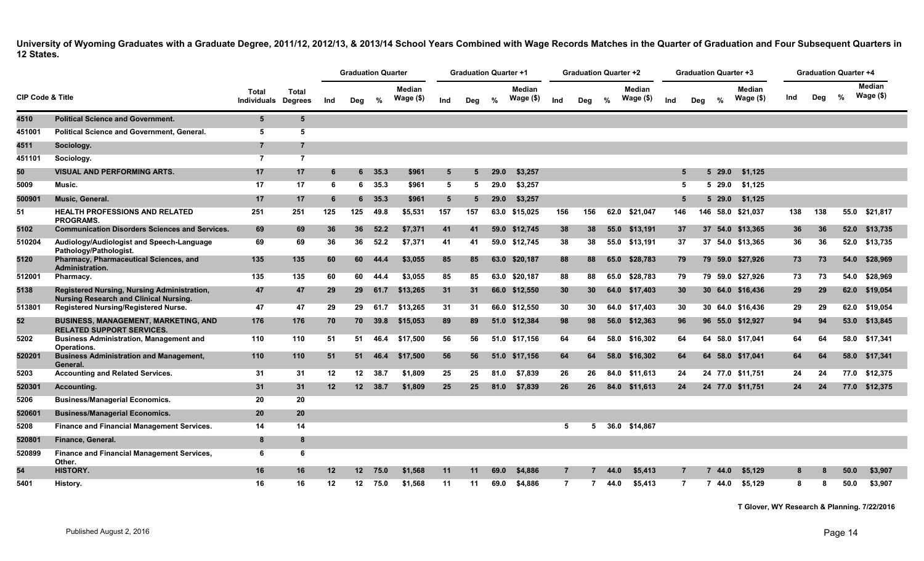|                             |                                                                                              |                      |                                |         | <b>Graduation Quarter</b> |               |                            |     | <b>Graduation Quarter +1</b> |      |                            |                | <b>Graduation Quarter +2</b> |      |                            |                |     |                        | <b>Graduation Quarter +3</b> |     | <b>Graduation Quarter +4</b> |      |                      |  |
|-----------------------------|----------------------------------------------------------------------------------------------|----------------------|--------------------------------|---------|---------------------------|---------------|----------------------------|-----|------------------------------|------|----------------------------|----------------|------------------------------|------|----------------------------|----------------|-----|------------------------|------------------------------|-----|------------------------------|------|----------------------|--|
| <b>CIP Code &amp; Title</b> |                                                                                              | Total<br>Individuals | <b>Total</b><br><b>Degrees</b> | Ind     | Deg                       | %             | <b>Median</b><br>Wage (\$) | Ind | Deg                          | %    | <b>Median</b><br>Wage (\$) | Ind            | Deg                          | $\%$ | <b>Median</b><br>Wage (\$) | Ind            | Deg | $\%$                   | <b>Median</b><br>Wage (\$)   | Ind | Deg                          | %    | Median<br>Wage $($)$ |  |
| 4510                        | <b>Political Science and Government.</b>                                                     | 5                    | 5                              |         |                           |               |                            |     |                              |      |                            |                |                              |      |                            |                |     |                        |                              |     |                              |      |                      |  |
| 451001                      | <b>Political Science and Government, General.</b>                                            | 5                    | 5                              |         |                           |               |                            |     |                              |      |                            |                |                              |      |                            |                |     |                        |                              |     |                              |      |                      |  |
| 4511                        | Sociology.                                                                                   | $\overline{7}$       | $\overline{7}$                 |         |                           |               |                            |     |                              |      |                            |                |                              |      |                            |                |     |                        |                              |     |                              |      |                      |  |
| 451101                      | Sociology.                                                                                   | $\overline{7}$       | $\overline{7}$                 |         |                           |               |                            |     |                              |      |                            |                |                              |      |                            |                |     |                        |                              |     |                              |      |                      |  |
| 50                          | <b>VISUAL AND PERFORMING ARTS.</b>                                                           | 17                   | 17                             | -6      |                           | $6\quad 35.3$ | \$961                      | 5   | 5                            | 29.0 | \$3,257                    |                |                              |      |                            | 5              |     | 529.0                  | \$1,125                      |     |                              |      |                      |  |
| 5009                        | Music.                                                                                       | 17                   | 17                             | 6       | 6                         | 35.3          | \$961                      | 5   | -5                           | 29.0 | \$3,257                    |                |                              |      |                            | 5              |     | $5\,29.0$              | \$1,125                      |     |                              |      |                      |  |
| 500901                      | Music, General.                                                                              | 17                   | 17                             | -6      | 6.                        | 35.3          | \$961                      | 5   | 5                            | 29.0 | \$3,257                    |                |                              |      |                            | 5              |     | 5 29.0                 | \$1,125                      |     |                              |      |                      |  |
| 51                          | <b>HEALTH PROFESSIONS AND RELATED</b><br><b>PROGRAMS.</b>                                    | 251                  | 251                            | 125     | 125                       | 49.8          | \$5,531                    | 157 | 157                          |      | 63.0 \$15,025              | 156            | 156                          | 62.0 | \$21,047                   | 146            |     |                        | 146 58.0 \$21,037            | 138 | 138                          | 55.0 | \$21,817             |  |
| 5102                        | <b>Communication Disorders Sciences and Services.</b>                                        | 69                   | 69                             | 36      | 36                        | 52.2          | \$7,371                    | 41  | 41                           |      | 59.0 \$12,745              | 38             | 38                           | 55.0 | \$13,191                   | 37             |     |                        | 37 54.0 \$13,365             | 36  | 36                           |      | 52.0 \$13,735        |  |
| 510204                      | Audiology/Audiologist and Speech-Language<br>Pathology/Pathologist.                          | 69                   | 69                             | 36      | 36                        | 52.2          | \$7,371                    | 41  | 41                           |      | 59.0 \$12,745              | 38             | 38                           | 55.0 | \$13,191                   | 37             |     |                        | 37 54.0 \$13,365             | 36  | 36                           |      | 52.0 \$13,735        |  |
| 5120                        | Pharmacy, Pharmaceutical Sciences, and<br>Administration.                                    | 135                  | 135                            | 60      | 60                        | 44.4          | \$3,055                    | 85  | 85                           | 63.0 | \$20,187                   | 88             | 88                           | 65.0 | \$28,783                   | 79             |     |                        | 79 59.0 \$27,926             | 73  | 73                           | 54.0 | \$28,969             |  |
| 512001                      | Pharmacy.                                                                                    | 135                  | 135                            | 60      | 60                        | 44.4          | \$3.055                    | 85  | 85                           |      | 63.0 \$20,187              | 88             | 88                           | 65.0 | \$28.783                   | 79             |     |                        | 79 59.0 \$27.926             | 73  | 73                           | 54.0 | \$28.969             |  |
| 5138                        | Registered Nursing, Nursing Administration,<br><b>Nursing Research and Clinical Nursing.</b> | 47                   | 47                             | 29      | 29                        | 61.7          | \$13,265                   | 31  | 31                           |      | 66.0 \$12,550              | 30             | 30 <sub>o</sub>              | 64.0 | \$17,403                   | 30             |     |                        | 30 64.0 \$16,436             | 29  | 29                           |      | 62.0 \$19,054        |  |
| 513801                      | <b>Registered Nursing/Registered Nurse.</b>                                                  | 47                   | 47                             | 29      | 29                        | 61.7          | \$13,265                   | 31  | 31                           |      | 66.0 \$12,550              | 30             | 30                           | 64.0 | \$17.403                   | 30             |     |                        | 30 64.0 \$16,436             | 29  | 29                           |      | 62.0 \$19,054        |  |
| 52                          | <b>BUSINESS, MANAGEMENT, MARKETING, AND</b><br><b>RELATED SUPPORT SERVICES.</b>              | 176                  | 176                            | 70      | 70                        | 39.8          | \$15,053                   | 89  | 89                           |      | 51.0 \$12,384              | 98             | 98                           | 56.0 | \$12,363                   | 96             |     |                        | 96 55.0 \$12,927             | 94  | 94                           |      | 53.0 \$13,845        |  |
| 5202                        | <b>Business Administration, Management and</b><br>Operations.                                | 110                  | 110                            | 51      | -51                       | 46.4          | \$17,500                   | 56  | 56                           |      | 51.0 \$17,156              | 64             | 64                           | 58.0 | \$16,302                   | 64             |     |                        | 64 58.0 \$17,041             | 64  | 64                           |      | 58.0 \$17,341        |  |
| 520201                      | <b>Business Administration and Management,</b><br>General.                                   | 110                  | 110                            | 51      | 51                        | 46.4          | \$17.500                   | 56  | 56                           | 51.0 | \$17,156                   | 64             | 64                           | 58.0 | \$16,302                   | 64             |     |                        | 64 58.0 \$17.041             | 64  | 64                           |      | 58.0 \$17,341        |  |
| 5203                        | <b>Accounting and Related Services.</b>                                                      | 31                   | 31                             | 12      | 12 <sup>12</sup>          | 38.7          | \$1,809                    | 25  | 25                           | 81.0 | \$7,839                    | 26             | 26                           | 84.0 | \$11.613                   | 24             |     |                        | 24 77.0 \$11,751             | 24  | 24                           |      | 77.0 \$12,375        |  |
| 520301                      | Accounting.                                                                                  | 31                   | 31                             | 12      |                           | 12 38.7       | \$1,809                    | 25  | 25                           | 81.0 | \$7,839                    | 26             | 26                           | 84.0 | \$11,613                   | 24             |     |                        | 24 77.0 \$11,751             | 24  | 24                           | 77.0 | \$12,375             |  |
| 5206                        | <b>Business/Managerial Economics.</b>                                                        | 20                   | 20                             |         |                           |               |                            |     |                              |      |                            |                |                              |      |                            |                |     |                        |                              |     |                              |      |                      |  |
| 520601                      | <b>Business/Managerial Economics.</b>                                                        | 20                   | 20                             |         |                           |               |                            |     |                              |      |                            |                |                              |      |                            |                |     |                        |                              |     |                              |      |                      |  |
| 5208                        | Finance and Financial Management Services.                                                   | 14                   | 14                             |         |                           |               |                            |     |                              |      |                            | 5              | 5                            |      | 36.0 \$14,867              |                |     |                        |                              |     |                              |      |                      |  |
| 520801                      | Finance, General.                                                                            | 8                    | 8                              |         |                           |               |                            |     |                              |      |                            |                |                              |      |                            |                |     |                        |                              |     |                              |      |                      |  |
| 520899                      | <b>Finance and Financial Management Services,</b><br>Other.                                  | 6                    | 6                              |         |                           |               |                            |     |                              |      |                            |                |                              |      |                            |                |     |                        |                              |     |                              |      |                      |  |
| 54                          | HISTORY.                                                                                     | 16                   | 16                             | $12 \,$ |                           | 12 75.0       | \$1.568                    | 11  | 11                           | 69.0 | \$4,886                    | $\overline{7}$ |                              | 44.0 | \$5.413                    | $\overline{7}$ |     | 7,44.0                 | \$5.129                      | 8   |                              | 50.0 | \$3,907              |  |
| 5401                        | History.                                                                                     | 16                   | 16                             | 12      | 12 <sup>12</sup>          | 75.0          | \$1,568                    | 11  | 11                           | 69.0 | \$4,886                    | $\overline{7}$ | 7                            | 44.0 | \$5.413                    | $\overline{7}$ |     | $\overline{7}$<br>44.0 | \$5.129                      | 8   | 8                            | 50.0 | \$3.907              |  |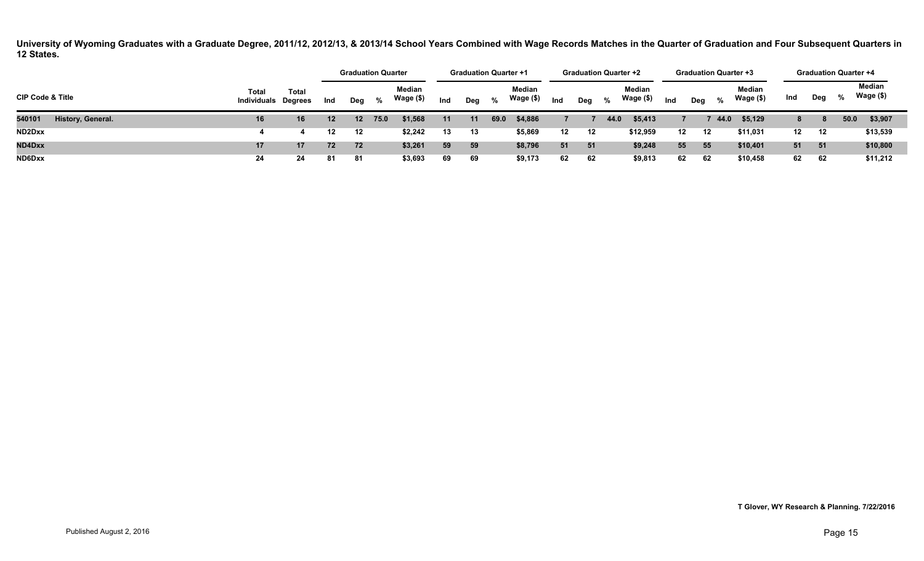|                             |                                     |              |         | <b>Graduation Quarter</b> |      |                     |     | <b>Graduation Quarter +1</b> |      |                     |     | <b>Graduation Quarter +2</b> |      |                     |     |     |      | <b>Graduation Quarter +3</b> |     | <b>Graduation Quarter +4</b> |      |                     |
|-----------------------------|-------------------------------------|--------------|---------|---------------------------|------|---------------------|-----|------------------------------|------|---------------------|-----|------------------------------|------|---------------------|-----|-----|------|------------------------------|-----|------------------------------|------|---------------------|
| <b>CIP Code &amp; Title</b> | Total<br><b>Individuals Degrees</b> | <b>Total</b> | Ind     | Deg                       | $\%$ | Median<br>Wage (\$) | Ind | Deg                          | %    | Median<br>Wage (\$) | Ind | Deg                          | $\%$ | Median<br>Wage (\$) | Ind | Deg | %    | Median<br>Wage (\$)          | Ind | Deg                          | %    | Median<br>Wage (\$) |
| 540101<br>History, General. | 16                                  | 16           | $12 \,$ | $\sqrt{12}$               | 75.0 | \$1,568             | 11  | 11                           | 69.0 | \$4,886             |     |                              | 44.0 | \$5,413             |     |     | 44.0 | \$5,129                      | 8.  | 8                            | 50.0 | \$3,907             |
| ND2Dxx                      |                                     |              | 12      | 12                        |      | \$2,242             | 13  | 13                           |      | \$5,869             | 12  | 12                           |      | \$12,959            | 12  | 12  |      | \$11,031                     | 12  | 12                           |      | \$13,539            |
| ND4Dxx                      | 17                                  | ৰ7 -         | 72      | 72                        |      | \$3,261             | 59  | 59                           |      | \$8,796             | 51  | 51                           |      | \$9,248             | 55  | 55  |      | \$10,401                     | 51  | - 51                         |      | \$10,800            |
| ND6Dxx                      | 24                                  | 24           | 81      | -81                       |      | \$3,693             | 69  | 69                           |      | \$9,173             | 62  | 62                           |      | \$9,813             | 62  | 62  |      | \$10,458                     | 62  | 62                           |      | \$11,212            |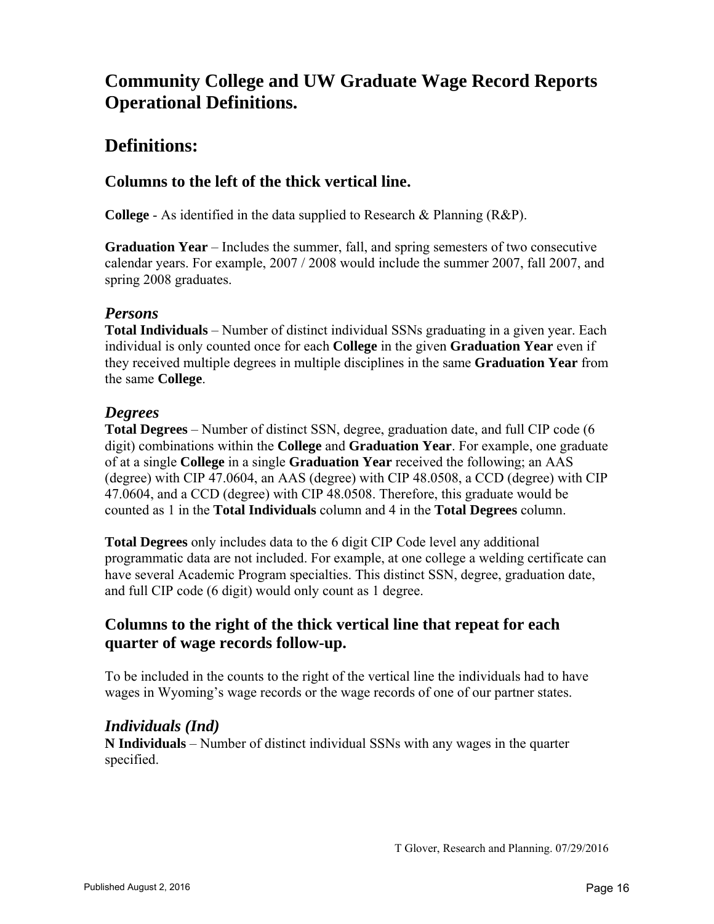# **Community College and UW Graduate Wage Record Reports Operational Definitions.**

# **Definitions:**

# **Columns to the left of the thick vertical line.**

**College** - As identified in the data supplied to Research & Planning (R&P).

**Graduation Year** – Includes the summer, fall, and spring semesters of two consecutive calendar years. For example, 2007 / 2008 would include the summer 2007, fall 2007, and spring 2008 graduates.

#### *Persons*

**Total Individuals** – Number of distinct individual SSNs graduating in a given year. Each individual is only counted once for each **College** in the given **Graduation Year** even if they received multiple degrees in multiple disciplines in the same **Graduation Year** from the same **College**.

#### *Degrees*

**Total Degrees** – Number of distinct SSN, degree, graduation date, and full CIP code (6 digit) combinations within the **College** and **Graduation Year**. For example, one graduate of at a single **College** in a single **Graduation Year** received the following; an AAS (degree) with CIP 47.0604, an AAS (degree) with CIP 48.0508, a CCD (degree) with CIP 47.0604, and a CCD (degree) with CIP 48.0508. Therefore, this graduate would be counted as 1 in the **Total Individuals** column and 4 in the **Total Degrees** column.

**Total Degrees** only includes data to the 6 digit CIP Code level any additional programmatic data are not included. For example, at one college a welding certificate can have several Academic Program specialties. This distinct SSN, degree, graduation date, and full CIP code (6 digit) would only count as 1 degree.

### **Columns to the right of the thick vertical line that repeat for each quarter of wage records follow-up.**

To be included in the counts to the right of the vertical line the individuals had to have wages in Wyoming's wage records or the wage records of one of our partner states.

### *Individuals (Ind)*

**N Individuals** – Number of distinct individual SSNs with any wages in the quarter specified.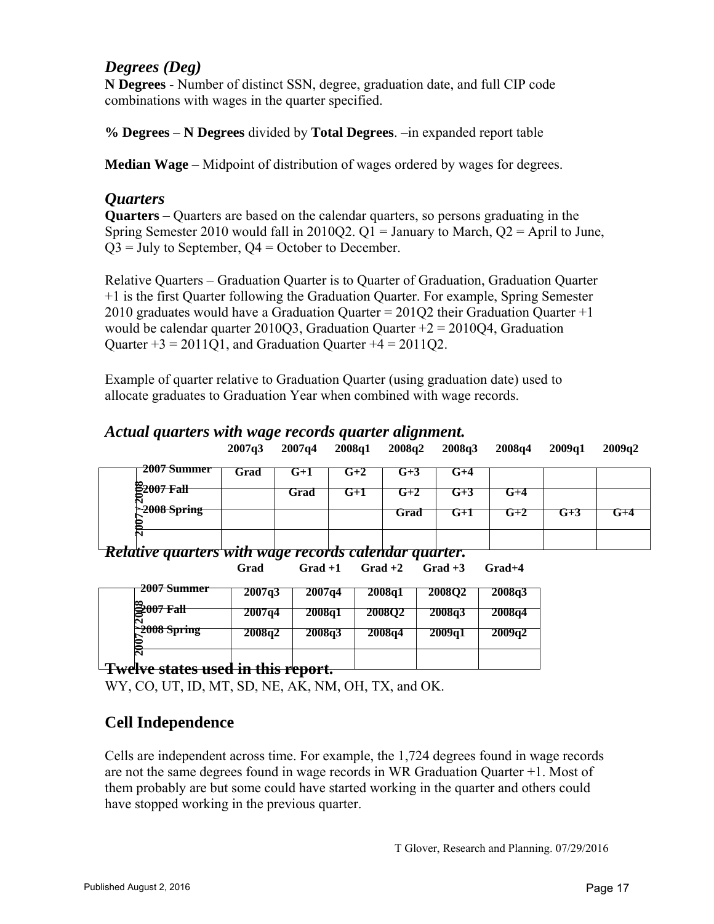#### *Degrees (Deg)*

**N Degrees** - Number of distinct SSN, degree, graduation date, and full CIP code combinations with wages in the quarter specified.

**% Degrees** – **N Degrees** divided by **Total Degrees**. –in expanded report table

**Median Wage** – Midpoint of distribution of wages ordered by wages for degrees.

#### *Quarters*

**Quarters** – Quarters are based on the calendar quarters, so persons graduating in the Spring Semester 2010 would fall in 2010Q2.  $Q1 =$  January to March,  $Q2 =$  April to June,  $Q3$  = July to September,  $Q4$  = October to December.

Relative Quarters – Graduation Quarter is to Quarter of Graduation, Graduation Quarter +1 is the first Quarter following the Graduation Quarter. For example, Spring Semester 2010 graduates would have a Graduation Quarter =  $201Q2$  their Graduation Quarter +1 would be calendar quarter 2010O3, Graduation Ouarter  $+2 = 201004$ , Graduation Quarter  $+3 = 2011Q1$ , and Graduation Quarter  $+4 = 2011Q2$ .

Example of quarter relative to Graduation Quarter (using graduation date) used to allocate graduates to Graduation Year when combined with wage records.

# *Actual quarters with wage records quarter alignment.*

|  | $2007q3$ $2007q4$ $2008q1$ $2008q2$ $2008q3$ $2008q4$ $2009q1$ $2009q2$ |  |  |  |  |  |  |
|--|-------------------------------------------------------------------------|--|--|--|--|--|--|
|--|-------------------------------------------------------------------------|--|--|--|--|--|--|

| 2007 Summer    | Grad | J+1  | $G+2$ | Մ+Հ  |     |      |     |     |
|----------------|------|------|-------|------|-----|------|-----|-----|
| 22007 Fall     |      | Grad | G+1   | G+2  | u+J | W+4  |     |     |
| $-2008$ Spring |      |      |       | Grad | G+1 | $+2$ | G+3 | w+4 |
|                |      |      |       |      |     |      |     |     |
|                |      |      |       |      |     |      |     |     |

| . |                                                              |  |  |  |
|---|--------------------------------------------------------------|--|--|--|
|   | <u>Kelative quarters with wage records calendar quarter.</u> |  |  |  |

**Grad Grad +1 Grad +2 Grad +3 Grad+4** 

| <del>2007 Summer</del>       | 2007q3 | 2007q4 | 2008q1 | 2008O2 | 2008q3 |
|------------------------------|--------|--------|--------|--------|--------|
| $\frac{2007 \text{ Fall}}{}$ | 2007q4 | 2008q1 | 200802 | 2008q3 | 2008q4 |
| 2008 Spring                  | 2008q2 | 2008q3 | 2008q4 | 2009a1 | 2009q2 |
| $\mathbf{\bar{N}}$           |        |        |        |        |        |

### **Twelve states used in this report.**

WY, CO, UT, ID, MT, SD, NE, AK, NM, OH, TX, and OK.

### **Cell Independence**

Cells are independent across time. For example, the 1,724 degrees found in wage records are not the same degrees found in wage records in WR Graduation Quarter +1. Most of them probably are but some could have started working in the quarter and others could have stopped working in the previous quarter.